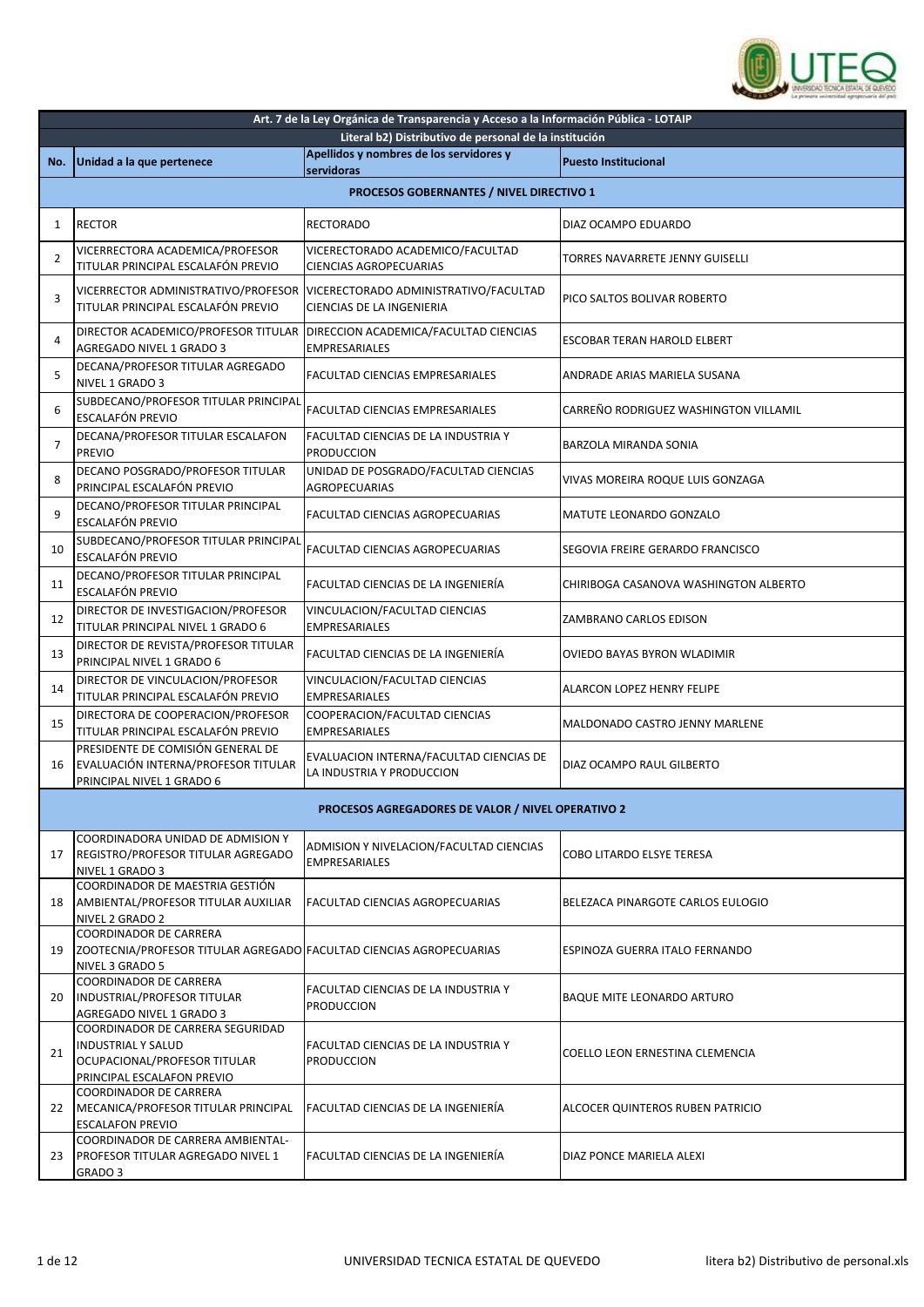

|                | Art. 7 de la Ley Orgánica de Transparencia y Acceso a la Información Pública - LOTAIP                                       |                                                                                                          |                                       |  |
|----------------|-----------------------------------------------------------------------------------------------------------------------------|----------------------------------------------------------------------------------------------------------|---------------------------------------|--|
|                |                                                                                                                             | Literal b2) Distributivo de personal de la institución                                                   |                                       |  |
| No.            | Unidad a la que pertenece                                                                                                   | Apellidos y nombres de los servidores y<br>servidoras                                                    | <b>Puesto Institucional</b>           |  |
|                |                                                                                                                             | PROCESOS GOBERNANTES / NIVEL DIRECTIVO 1                                                                 |                                       |  |
| 1              | <b>RECTOR</b>                                                                                                               | <b>RECTORADO</b>                                                                                         | DIAZ OCAMPO EDUARDO                   |  |
| 2              | VICERRECTORA ACADEMICA/PROFESOR<br>TITULAR PRINCIPAL ESCALAFÓN PREVIO                                                       | VICERECTORADO ACADEMICO/FACULTAD<br><b>CIENCIAS AGROPECUARIAS</b>                                        | TORRES NAVARRETE JENNY GUISELLI       |  |
| 3              | TITULAR PRINCIPAL ESCALAFÓN PREVIO                                                                                          | VICERRECTOR ADMINISTRATIVO/PROFESOR   VICERECTORADO ADMINISTRATIVO/FACULTAD<br>CIENCIAS DE LA INGENIERIA | PICO SALTOS BOLIVAR ROBERTO           |  |
| 4              | DIRECTOR ACADEMICO/PROFESOR TITULAR<br>AGREGADO NIVEL 1 GRADO 3                                                             | DIRECCION ACADEMICA/FACULTAD CIENCIAS<br><b>EMPRESARIALES</b>                                            | ESCOBAR TERAN HAROLD ELBERT           |  |
| 5              | DECANA/PROFESOR TITULAR AGREGADO<br>NIVEL 1 GRADO 3                                                                         | FACULTAD CIENCIAS EMPRESARIALES                                                                          | ANDRADE ARIAS MARIELA SUSANA          |  |
| 6              | SUBDECANO/PROFESOR TITULAR PRINCIPAL<br>ESCALAFÓN PREVIO                                                                    | <b>FACULTAD CIENCIAS EMPRESARIALES</b>                                                                   | CARREÑO RODRIGUEZ WASHINGTON VILLAMIL |  |
| $\overline{7}$ | DECANA/PROFESOR TITULAR ESCALAFON<br><b>PREVIO</b>                                                                          | FACULTAD CIENCIAS DE LA INDUSTRIA Y<br><b>PRODUCCION</b>                                                 | BARZOLA MIRANDA SONIA                 |  |
| 8              | DECANO POSGRADO/PROFESOR TITULAR<br>PRINCIPAL ESCALAFÓN PREVIO                                                              | UNIDAD DE POSGRADO/FACULTAD CIENCIAS<br><b>AGROPECUARIAS</b>                                             | VIVAS MOREIRA ROQUE LUIS GONZAGA      |  |
| 9              | DECANO/PROFESOR TITULAR PRINCIPAL<br>ESCALAFÓN PREVIO                                                                       | FACULTAD CIENCIAS AGROPECUARIAS                                                                          | MATUTE LEONARDO GONZALO               |  |
| 10             | SUBDECANO/PROFESOR TITULAR PRINCIPAL<br>ESCALAFÓN PREVIO                                                                    | FACULTAD CIENCIAS AGROPECUARIAS                                                                          | SEGOVIA FREIRE GERARDO FRANCISCO      |  |
| 11             | DECANO/PROFESOR TITULAR PRINCIPAL<br>ESCALAFÓN PREVIO                                                                       | FACULTAD CIENCIAS DE LA INGENIERÍA                                                                       | CHIRIBOGA CASANOVA WASHINGTON ALBERTO |  |
| 12             | DIRECTOR DE INVESTIGACION/PROFESOR<br>TITULAR PRINCIPAL NIVEL 1 GRADO 6                                                     | VINCULACION/FACULTAD CIENCIAS<br><b>EMPRESARIALES</b>                                                    | ZAMBRANO CARLOS EDISON                |  |
| 13             | DIRECTOR DE REVISTA/PROFESOR TITULAR<br>PRINCIPAL NIVEL 1 GRADO 6                                                           | FACULTAD CIENCIAS DE LA INGENIERÍA                                                                       | OVIEDO BAYAS BYRON WLADIMIR           |  |
| 14             | DIRECTOR DE VINCULACION/PROFESOR<br>TITULAR PRINCIPAL ESCALAFÓN PREVIO                                                      | VINCULACION/FACULTAD CIENCIAS<br><b>EMPRESARIALES</b>                                                    | ALARCON LOPEZ HENRY FELIPE            |  |
| 15             | DIRECTORA DE COOPERACION/PROFESOR<br>TITULAR PRINCIPAL ESCALAFÓN PREVIO                                                     | COOPERACION/FACULTAD CIENCIAS<br><b>EMPRESARIALES</b>                                                    | MALDONADO CASTRO JENNY MARLENE        |  |
| 16             | PRESIDENTE DE COMISIÓN GENERAL DE<br>EVALUACIÓN INTERNA/PROFESOR TITULAR<br>PRINCIPAL NIVEL 1 GRADO 6                       | EVALUACION INTERNA/FACULTAD CIENCIAS DE<br>LA INDUSTRIA Y PRODUCCION                                     | DIAZ OCAMPO RAUL GILBERTO             |  |
|                |                                                                                                                             | PROCESOS AGREGADORES DE VALOR / NIVEL OPERATIVO 2                                                        |                                       |  |
| 17             | COORDINADORA UNIDAD DE ADMISION Y<br>REGISTRO/PROFESOR TITULAR AGREGADO<br>NIVEL 1 GRADO 3                                  | ADMISION Y NIVELACION/FACULTAD CIENCIAS<br><b>EMPRESARIALES</b>                                          | COBO LITARDO ELSYE TERESA             |  |
| 18             | COORDINADOR DE MAESTRIA GESTIÓN<br>AMBIENTAL/PROFESOR TITULAR AUXILIAR<br>NIVEL 2 GRADO 2                                   | FACULTAD CIENCIAS AGROPECUARIAS                                                                          | BELEZACA PINARGOTE CARLOS EULOGIO     |  |
| 19             | COORDINADOR DE CARRERA<br>ZOOTECNIA/PROFESOR TITULAR AGREGADO FACULTAD CIENCIAS AGROPECUARIAS<br>NIVEL 3 GRADO 5            |                                                                                                          | <b>ESPINOZA GUERRA ITALO FERNANDO</b> |  |
| 20             | COORDINADOR DE CARRERA<br>INDUSTRIAL/PROFESOR TITULAR<br>AGREGADO NIVEL 1 GRADO 3                                           | FACULTAD CIENCIAS DE LA INDUSTRIA Y<br><b>PRODUCCION</b>                                                 | BAQUE MITE LEONARDO ARTURO            |  |
| 21             | COORDINADOR DE CARRERA SEGURIDAD<br><b>INDUSTRIAL Y SALUD</b><br>OCUPACIONAL/PROFESOR TITULAR<br>PRINCIPAL ESCALAFON PREVIO | FACULTAD CIENCIAS DE LA INDUSTRIA Y<br><b>PRODUCCION</b>                                                 | COELLO LEON ERNESTINA CLEMENCIA       |  |
| 22             | <b>COORDINADOR DE CARRERA</b><br>MECANICA/PROFESOR TITULAR PRINCIPAL<br><b>ESCALAFON PREVIO</b>                             | FACULTAD CIENCIAS DE LA INGENIERÍA                                                                       | ALCOCER QUINTEROS RUBEN PATRICIO      |  |
| 23             | COORDINADOR DE CARRERA AMBIENTAL-<br>PROFESOR TITULAR AGREGADO NIVEL 1<br>GRADO 3                                           | FACULTAD CIENCIAS DE LA INGENIERÍA                                                                       | DIAZ PONCE MARIELA ALEXI              |  |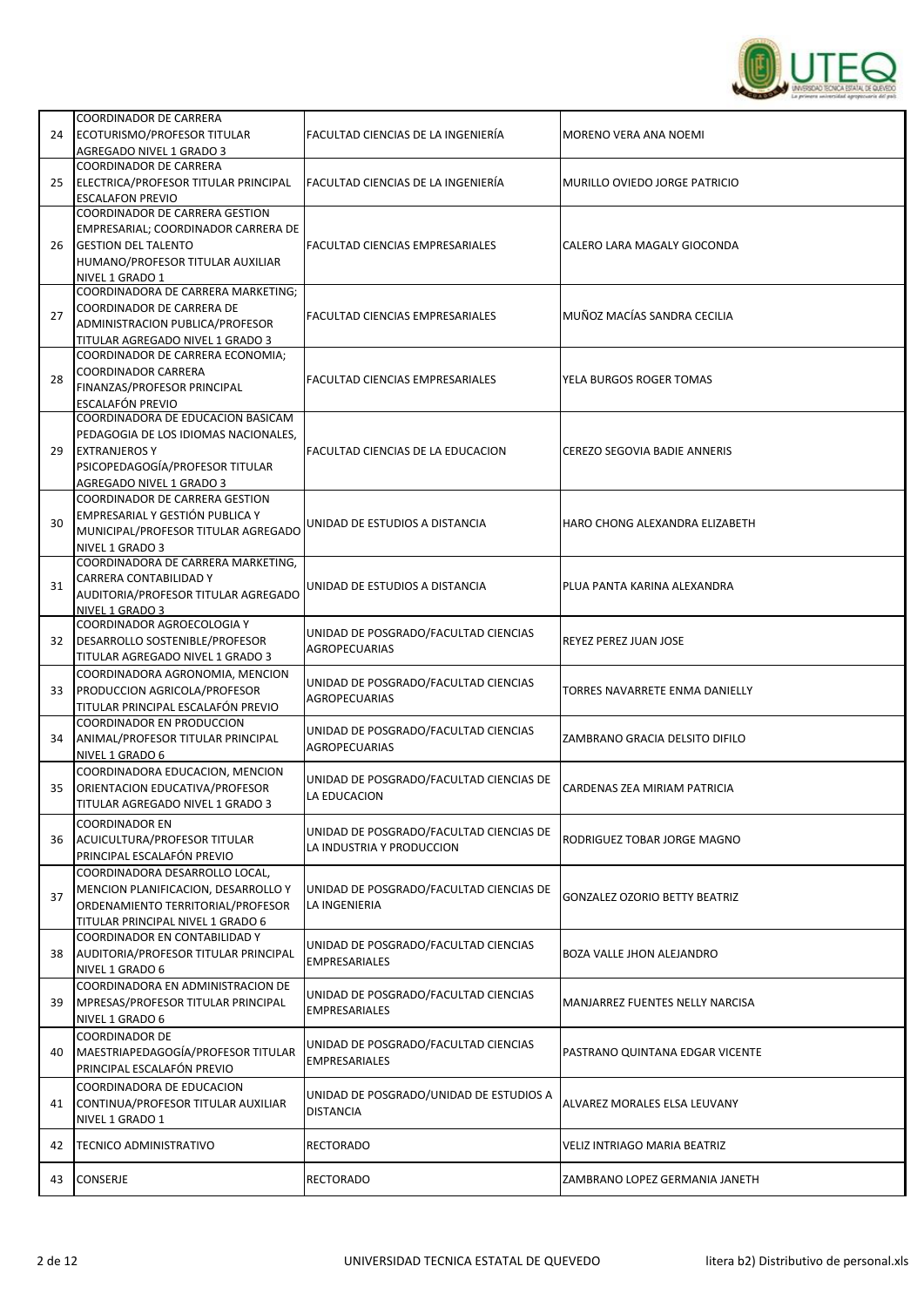

| 24 | COORDINADOR DE CARRERA<br>ECOTURISMO/PROFESOR TITULAR<br>AGREGADO NIVEL 1 GRADO 3                                                                                 | FACULTAD CIENCIAS DE LA INGENIERÍA                                   | MORENO VERA ANA NOEMI                |
|----|-------------------------------------------------------------------------------------------------------------------------------------------------------------------|----------------------------------------------------------------------|--------------------------------------|
| 25 | <b>COORDINADOR DE CARRERA</b><br>ELECTRICA/PROFESOR TITULAR PRINCIPAL<br><b>ESCALAFON PREVIO</b>                                                                  | FACULTAD CIENCIAS DE LA INGENIERÍA                                   | MURILLO OVIEDO JORGE PATRICIO        |
| 26 | <b>COORDINADOR DE CARRERA GESTION</b><br>EMPRESARIAL; COORDINADOR CARRERA DE<br><b>GESTION DEL TALENTO</b><br>HUMANO/PROFESOR TITULAR AUXILIAR<br>NIVEL 1 GRADO 1 | <b>FACULTAD CIENCIAS EMPRESARIALES</b>                               | CALERO LARA MAGALY GIOCONDA          |
| 27 | COORDINADORA DE CARRERA MARKETING:<br>COORDINADOR DE CARRERA DE<br>ADMINISTRACION PUBLICA/PROFESOR<br>TITULAR AGREGADO NIVEL 1 GRADO 3                            | FACULTAD CIENCIAS EMPRESARIALES                                      | MUÑOZ MACÍAS SANDRA CECILIA          |
| 28 | COORDINADOR DE CARRERA ECONOMIA;<br><b>COORDINADOR CARRERA</b><br>FINANZAS/PROFESOR PRINCIPAL<br>ESCALAFÓN PREVIO                                                 | <b>FACULTAD CIENCIAS EMPRESARIALES</b>                               | YELA BURGOS ROGER TOMAS              |
| 29 | COORDINADORA DE EDUCACION BASICAM<br>PEDAGOGIA DE LOS IDIOMAS NACIONALES,<br><b>EXTRANJEROSY</b><br>PSICOPEDAGOGÍA/PROFESOR TITULAR<br>AGREGADO NIVEL 1 GRADO 3   | FACULTAD CIENCIAS DE LA EDUCACION                                    | CEREZO SEGOVIA BADIE ANNERIS         |
| 30 | COORDINADOR DE CARRERA GESTION<br>EMPRESARIAL Y GESTIÓN PUBLICA Y<br>MUNICIPAL/PROFESOR TITULAR AGREGADO<br>NIVEL 1 GRADO 3                                       | UNIDAD DE ESTUDIOS A DISTANCIA                                       | HARO CHONG ALEXANDRA ELIZABETH       |
| 31 | COORDINADORA DE CARRERA MARKETING,<br>CARRERA CONTABILIDAD Y<br>AUDITORIA/PROFESOR TITULAR AGREGADO<br>NIVEL 1 GRADO 3                                            | UNIDAD DE ESTUDIOS A DISTANCIA                                       | PLUA PANTA KARINA ALEXANDRA          |
| 32 | COORDINADOR AGROECOLOGIA Y<br>DESARROLLO SOSTENIBLE/PROFESOR<br>TITULAR AGREGADO NIVEL 1 GRADO 3                                                                  | UNIDAD DE POSGRADO/FACULTAD CIENCIAS<br><b>AGROPECUARIAS</b>         | REYEZ PEREZ JUAN JOSE                |
| 33 | COORDINADORA AGRONOMIA, MENCION<br>PRODUCCION AGRICOLA/PROFESOR<br>TITULAR PRINCIPAL ESCALAFÓN PREVIO                                                             | UNIDAD DE POSGRADO/FACULTAD CIENCIAS<br><b>AGROPECUARIAS</b>         | TORRES NAVARRETE ENMA DANIELLY       |
| 34 | <b>COORDINADOR EN PRODUCCION</b><br>ANIMAL/PROFESOR TITULAR PRINCIPAL<br>NIVEL 1 GRADO 6                                                                          | UNIDAD DE POSGRADO/FACULTAD CIENCIAS<br><b>AGROPECUARIAS</b>         | ZAMBRANO GRACIA DELSITO DIFILO       |
| 35 | COORDINADORA EDUCACION, MENCION<br>ORIENTACION EDUCATIVA/PROFESOR<br>TITULAR AGREGADO NIVEL 1 GRADO 3                                                             | UNIDAD DE POSGRADO/FACULTAD CIENCIAS DE<br>LA EDUCACION              | CARDENAS ZEA MIRIAM PATRICIA         |
| 36 | <b>COORDINADOR EN</b><br>ACUICULTURA/PROFESOR TITULAR<br>PRINCIPAL ESCALAFÓN PREVIO                                                                               | UNIDAD DE POSGRADO/FACULTAD CIENCIAS DE<br>LA INDUSTRIA Y PRODUCCION | RODRIGUEZ TOBAR JORGE MAGNO          |
| 37 | COORDINADORA DESARROLLO LOCAL,<br>MENCION PLANIFICACION, DESARROLLO Y<br>ORDENAMIENTO TERRITORIAL/PROFESOR<br>TITULAR PRINCIPAL NIVEL 1 GRADO 6                   | UNIDAD DE POSGRADO/FACULTAD CIENCIAS DE<br>LA INGENIERIA             | <b>GONZALEZ OZORIO BETTY BEATRIZ</b> |
| 38 | COORDINADOR EN CONTABILIDAD Y<br>AUDITORIA/PROFESOR TITULAR PRINCIPAL<br>NIVEL 1 GRADO 6                                                                          | UNIDAD DE POSGRADO/FACULTAD CIENCIAS<br><b>EMPRESARIALES</b>         | BOZA VALLE JHON ALEJANDRO            |
| 39 | COORDINADORA EN ADMINISTRACION DE<br>MPRESAS/PROFESOR TITULAR PRINCIPAL<br>NIVEL 1 GRADO 6                                                                        | UNIDAD DE POSGRADO/FACULTAD CIENCIAS<br><b>EMPRESARIALES</b>         | MANJARREZ FUENTES NELLY NARCISA      |
| 40 | <b>COORDINADOR DE</b><br>MAESTRIAPEDAGOGÍA/PROFESOR TITULAR<br>PRINCIPAL ESCALAFÓN PREVIO                                                                         | UNIDAD DE POSGRADO/FACULTAD CIENCIAS<br><b>EMPRESARIALES</b>         | PASTRANO QUINTANA EDGAR VICENTE      |
| 41 | COORDINADORA DE EDUCACION<br>CONTINUA/PROFESOR TITULAR AUXILIAR<br>NIVEL 1 GRADO 1                                                                                | UNIDAD DE POSGRADO/UNIDAD DE ESTUDIOS A<br><b>DISTANCIA</b>          | ALVAREZ MORALES ELSA LEUVANY         |
| 42 | <b>TECNICO ADMINISTRATIVO</b>                                                                                                                                     | <b>RECTORADO</b>                                                     | <b>VELIZ INTRIAGO MARIA BEATRIZ</b>  |
| 43 | CONSERJE                                                                                                                                                          | <b>RECTORADO</b>                                                     | ZAMBRANO LOPEZ GERMANIA JANETH       |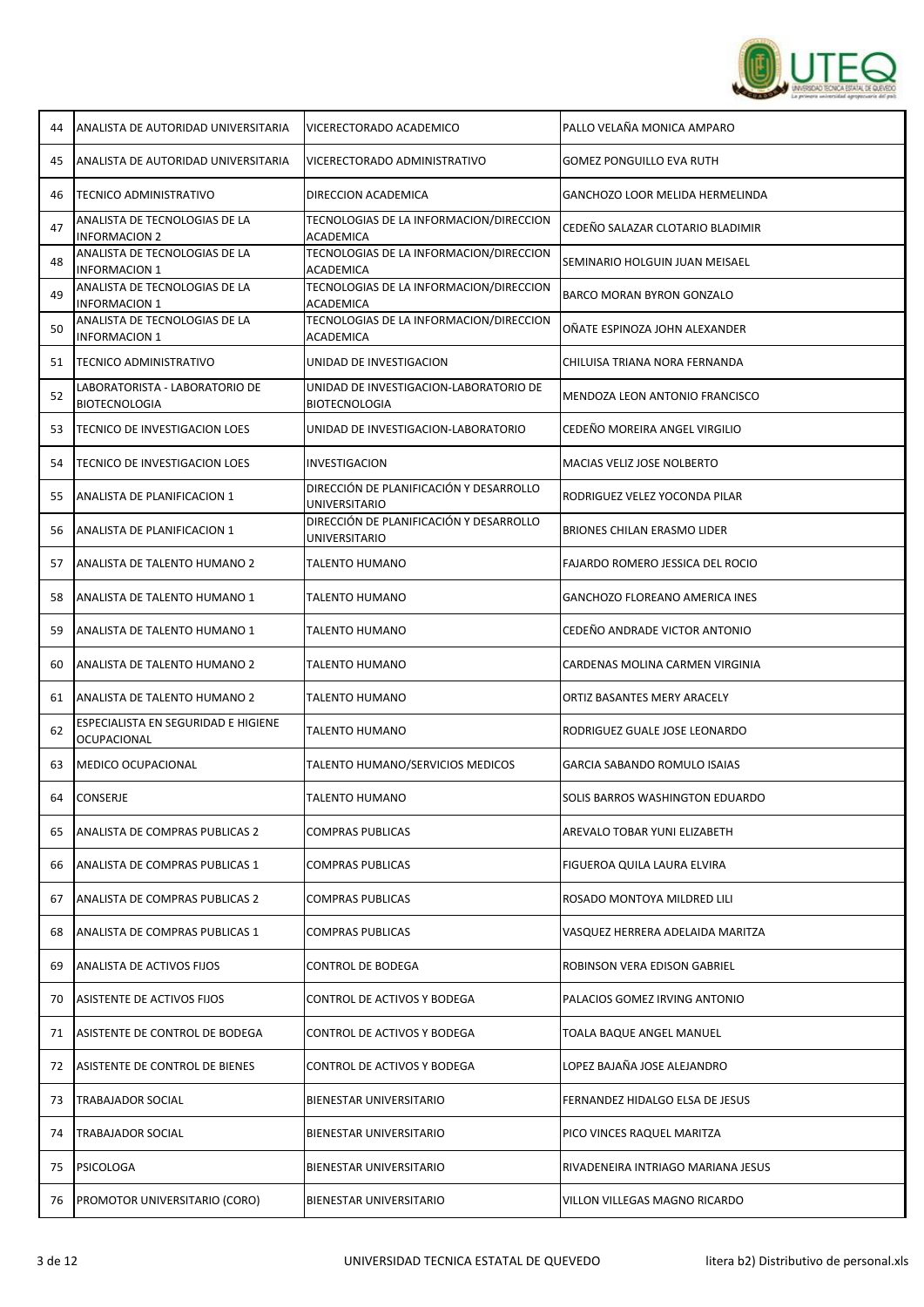

| 44 | ANALISTA DE AUTORIDAD UNIVERSITARIA                    | VICERECTORADO ACADEMICO                                  | PALLO VELAÑA MONICA AMPARO             |
|----|--------------------------------------------------------|----------------------------------------------------------|----------------------------------------|
| 45 | ANALISTA DE AUTORIDAD UNIVERSITARIA                    | VICERECTORADO ADMINISTRATIVO                             | <b>GOMEZ PONGUILLO EVA RUTH</b>        |
| 46 | TECNICO ADMINISTRATIVO                                 | DIRECCION ACADEMICA                                      | <b>GANCHOZO LOOR MELIDA HERMELINDA</b> |
| 47 | ANALISTA DE TECNOLOGIAS DE LA<br><b>INFORMACION 2</b>  | TECNOLOGIAS DE LA INFORMACION/DIRECCION<br>ACADEMICA     | CEDEÑO SALAZAR CLOTARIO BLADIMIR       |
| 48 | ANALISTA DE TECNOLOGIAS DE LA<br><b>INFORMACION 1</b>  | TECNOLOGIAS DE LA INFORMACION/DIRECCION<br>ACADEMICA     | SEMINARIO HOLGUIN JUAN MEISAEL         |
| 49 | ANALISTA DE TECNOLOGIAS DE LA<br>INFORMACION 1         | TECNOLOGIAS DE LA INFORMACION/DIRECCION<br>ACADEMICA     | BARCO MORAN BYRON GONZALO              |
| 50 | ANALISTA DE TECNOLOGIAS DE LA<br><b>INFORMACION 1</b>  | TECNOLOGIAS DE LA INFORMACION/DIRECCION<br>ACADEMICA     | OÑATE ESPINOZA JOHN ALEXANDER          |
| 51 | TECNICO ADMINISTRATIVO                                 | UNIDAD DE INVESTIGACION                                  | CHILUISA TRIANA NORA FERNANDA          |
| 52 | LABORATORISTA - LABORATORIO DE<br><b>BIOTECNOLOGIA</b> | UNIDAD DE INVESTIGACION-LABORATORIO DE<br>BIOTECNOLOGIA  | MENDOZA LEON ANTONIO FRANCISCO         |
| 53 | TECNICO DE INVESTIGACION LOES                          | UNIDAD DE INVESTIGACION-LABORATORIO                      | CEDEÑO MOREIRA ANGEL VIRGILIO          |
| 54 | TECNICO DE INVESTIGACION LOES                          | INVESTIGACION                                            | MACIAS VELIZ JOSE NOLBERTO             |
| 55 | ANALISTA DE PLANIFICACION 1                            | DIRECCIÓN DE PLANIFICACIÓN Y DESARROLLO<br>UNIVERSITARIO | RODRIGUEZ VELEZ YOCONDA PILAR          |
| 56 | ANALISTA DE PLANIFICACION 1                            | DIRECCIÓN DE PLANIFICACIÓN Y DESARROLLO<br>UNIVERSITARIO | BRIONES CHILAN ERASMO LIDER            |
| 57 | ANALISTA DE TALENTO HUMANO 2                           | TALENTO HUMANO                                           | FAJARDO ROMERO JESSICA DEL ROCIO       |
| 58 | ANALISTA DE TALENTO HUMANO 1                           | TALENTO HUMANO                                           | GANCHOZO FLOREANO AMERICA INES         |
| 59 | ANALISTA DE TALENTO HUMANO 1                           | TALENTO HUMANO                                           | CEDEÑO ANDRADE VICTOR ANTONIO          |
| 60 | ANALISTA DE TALENTO HUMANO 2                           | TALENTO HUMANO                                           | CARDENAS MOLINA CARMEN VIRGINIA        |
| 61 | ANALISTA DE TALENTO HUMANO 2                           | TALENTO HUMANO                                           | ORTIZ BASANTES MERY ARACELY            |
| 62 | ESPECIALISTA EN SEGURIDAD E HIGIENE<br>OCUPACIONAL     | TALENTO HUMANO                                           | RODRIGUEZ GUALE JOSE LEONARDO          |
| 63 | <b>MEDICO OCUPACIONAL</b>                              | TALENTO HUMANO/SERVICIOS MEDICOS                         | <b>GARCIA SABANDO ROMULO ISAIAS</b>    |
| 64 | CONSERJE                                               | TALENTO HUMANO                                           | SOLIS BARROS WASHINGTON EDUARDO        |
| 65 | ANALISTA DE COMPRAS PUBLICAS 2                         | <b>COMPRAS PUBLICAS</b>                                  | AREVALO TOBAR YUNI ELIZABETH           |
| 66 | ANALISTA DE COMPRAS PUBLICAS 1                         | COMPRAS PUBLICAS                                         | FIGUEROA QUILA LAURA ELVIRA            |
| 67 | ANALISTA DE COMPRAS PUBLICAS 2                         | COMPRAS PUBLICAS                                         | ROSADO MONTOYA MILDRED LILI            |
| 68 | ANALISTA DE COMPRAS PUBLICAS 1                         | COMPRAS PUBLICAS                                         | VASQUEZ HERRERA ADELAIDA MARITZA       |
| 69 | ANALISTA DE ACTIVOS FIJOS                              | CONTROL DE BODEGA                                        | ROBINSON VERA EDISON GABRIEL           |
| 70 | ASISTENTE DE ACTIVOS FIJOS                             | CONTROL DE ACTIVOS Y BODEGA                              | PALACIOS GOMEZ IRVING ANTONIO          |
| 71 | ASISTENTE DE CONTROL DE BODEGA                         | CONTROL DE ACTIVOS Y BODEGA                              | TOALA BAQUE ANGEL MANUEL               |
| 72 | ASISTENTE DE CONTROL DE BIENES                         | CONTROL DE ACTIVOS Y BODEGA                              | LOPEZ BAJAÑA JOSE ALEJANDRO            |
| 73 | TRABAJADOR SOCIAL                                      | BIENESTAR UNIVERSITARIO                                  | FERNANDEZ HIDALGO ELSA DE JESUS        |
| 74 | TRABAJADOR SOCIAL                                      | BIENESTAR UNIVERSITARIO                                  | PICO VINCES RAQUEL MARITZA             |
| 75 | PSICOLOGA                                              | BIENESTAR UNIVERSITARIO                                  | RIVADENEIRA INTRIAGO MARIANA JESUS     |
| 76 | PROMOTOR UNIVERSITARIO (CORO)                          | BIENESTAR UNIVERSITARIO                                  | VILLON VILLEGAS MAGNO RICARDO          |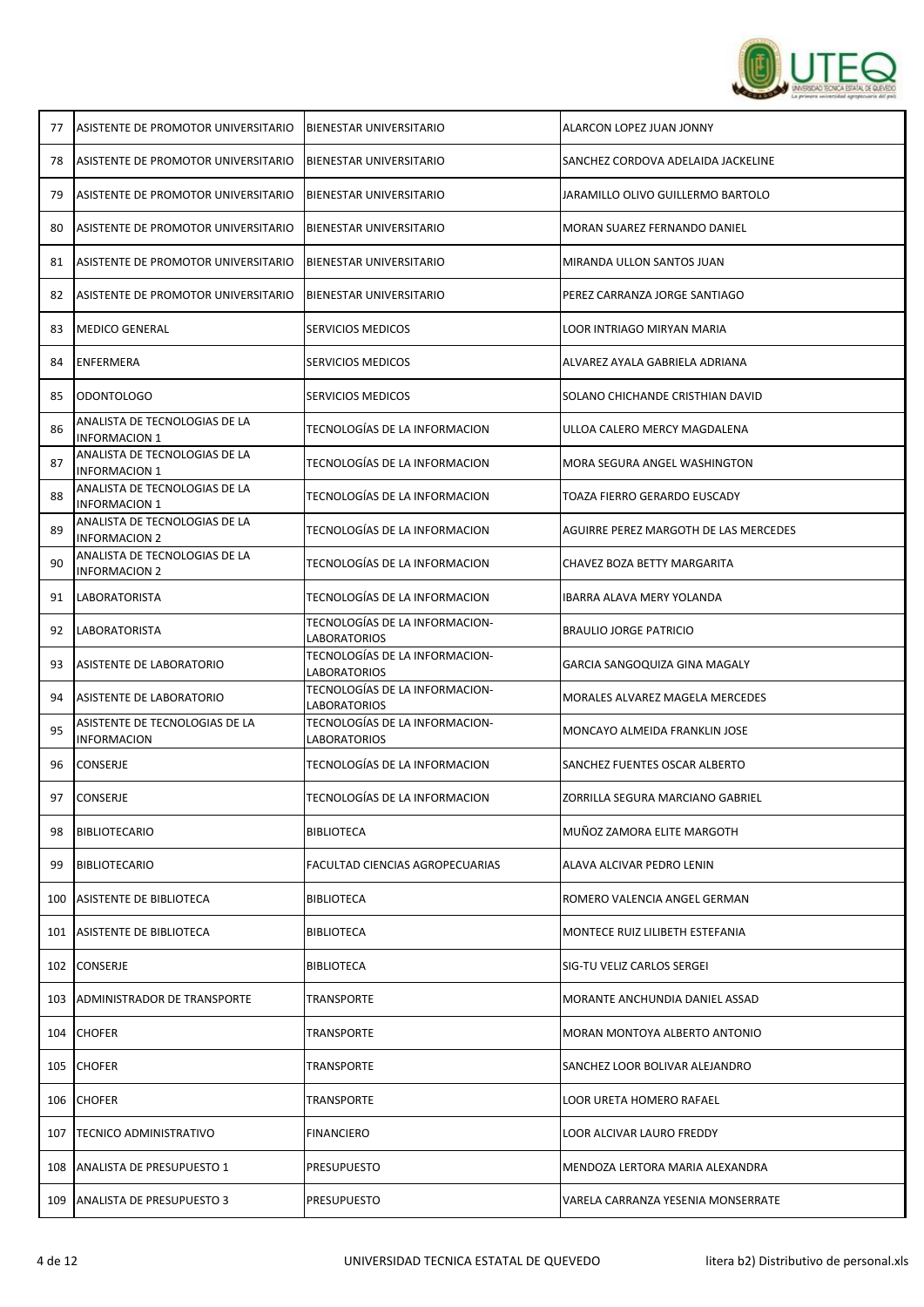

| 77  | ASISTENTE DE PROMOTOR UNIVERSITARIO                   | <b>BIENESTAR UNIVERSITARIO</b>                        | ALARCON LOPEZ JUAN JONNY              |
|-----|-------------------------------------------------------|-------------------------------------------------------|---------------------------------------|
| 78  | ASISTENTE DE PROMOTOR UNIVERSITARIO                   | <b>BIENESTAR UNIVERSITARIO</b>                        | SANCHEZ CORDOVA ADELAIDA JACKELINE    |
| 79  | ASISTENTE DE PROMOTOR UNIVERSITARIO                   | <b>BIENESTAR UNIVERSITARIO</b>                        | JARAMILLO OLIVO GUILLERMO BARTOLO     |
| 80  | ASISTENTE DE PROMOTOR UNIVERSITARIO                   | <b>BIENESTAR UNIVERSITARIO</b>                        | MORAN SUAREZ FERNANDO DANIEL          |
| 81  | ASISTENTE DE PROMOTOR UNIVERSITARIO                   | <b>BIENESTAR UNIVERSITARIO</b>                        | MIRANDA ULLON SANTOS JUAN             |
| 82  | ASISTENTE DE PROMOTOR UNIVERSITARIO                   | BIENESTAR UNIVERSITARIO                               | PEREZ CARRANZA JORGE SANTIAGO         |
| 83  | <b>MEDICO GENERAL</b>                                 | SERVICIOS MEDICOS                                     | LOOR INTRIAGO MIRYAN MARIA            |
| 84  | ENFERMERA                                             | SERVICIOS MEDICOS                                     | ALVAREZ AYALA GABRIELA ADRIANA        |
| 85  | ODONTOLOGO                                            | SERVICIOS MEDICOS                                     | SOLANO CHICHANDE CRISTHIAN DAVID      |
| 86  | ANALISTA DE TECNOLOGIAS DE LA<br><b>INFORMACION 1</b> | TECNOLOGÍAS DE LA INFORMACION                         | ULLOA CALERO MERCY MAGDALENA          |
| 87  | ANALISTA DE TECNOLOGIAS DE LA<br><b>INFORMACION 1</b> | TECNOLOGÍAS DE LA INFORMACION                         | MORA SEGURA ANGEL WASHINGTON          |
| 88  | ANALISTA DE TECNOLOGIAS DE LA<br><b>INFORMACION 1</b> | TECNOLOGÍAS DE LA INFORMACION                         | TOAZA FIERRO GERARDO EUSCADY          |
| 89  | ANALISTA DE TECNOLOGIAS DE LA<br><b>INFORMACION 2</b> | TECNOLOGÍAS DE LA INFORMACION                         | AGUIRRE PEREZ MARGOTH DE LAS MERCEDES |
| 90  | ANALISTA DE TECNOLOGIAS DE LA<br><b>INFORMACION 2</b> | TECNOLOGÍAS DE LA INFORMACION                         | CHAVEZ BOZA BETTY MARGARITA           |
| 91  | <b>LABORATORISTA</b>                                  | TECNOLOGÍAS DE LA INFORMACION                         | IBARRA ALAVA MERY YOLANDA             |
| 92  | LABORATORISTA                                         | TECNOLOGÍAS DE LA INFORMACION-<br><b>LABORATORIOS</b> | <b>BRAULIO JORGE PATRICIO</b>         |
| 93  | ASISTENTE DE LABORATORIO                              | TECNOLOGÍAS DE LA INFORMACION-<br>LABORATORIOS        | GARCIA SANGOQUIZA GINA MAGALY         |
| 94  | ASISTENTE DE LABORATORIO                              | TECNOLOGÍAS DE LA INFORMACION-<br>LABORATORIOS        | MORALES ALVAREZ MAGELA MERCEDES       |
| 95  | ASISTENTE DE TECNOLOGIAS DE LA<br><b>INFORMACION</b>  | TECNOLOGÍAS DE LA INFORMACION-<br><b>LABORATORIOS</b> | MONCAYO ALMEIDA FRANKLIN JOSE         |
| 96  | CONSERJE                                              | TECNOLOGÍAS DE LA INFORMACION                         | SANCHEZ FUENTES OSCAR ALBERTO         |
| 97  | CONSERJE                                              | TECNOLOGÍAS DE LA INFORMACION                         | ZORRILLA SEGURA MARCIANO GABRIEL      |
| 98  | <b>BIBLIOTECARIO</b>                                  | <b>BIBLIOTECA</b>                                     | MUÑOZ ZAMORA ELITE MARGOTH            |
| 99  | <b>BIBLIOTECARIO</b>                                  | <b>FACULTAD CIENCIAS AGROPECUARIAS</b>                | ALAVA ALCIVAR PEDRO LENIN             |
| 100 | ASISTENTE DE BIBLIOTECA                               | <b>BIBLIOTECA</b>                                     | ROMERO VALENCIA ANGEL GERMAN          |
| 101 | ASISTENTE DE BIBLIOTECA                               | <b>BIBLIOTECA</b>                                     | MONTECE RUIZ LILIBETH ESTEFANIA       |
| 102 | <b>CONSERJE</b>                                       | <b>BIBLIOTECA</b>                                     | SIG-TU VELIZ CARLOS SERGEI            |
| 103 | ADMINISTRADOR DE TRANSPORTE                           | <b>TRANSPORTE</b>                                     | MORANTE ANCHUNDIA DANIEL ASSAD        |
| 104 | <b>CHOFER</b>                                         | <b>TRANSPORTE</b>                                     | MORAN MONTOYA ALBERTO ANTONIO         |
| 105 | <b>CHOFER</b>                                         | <b>TRANSPORTE</b>                                     | SANCHEZ LOOR BOLIVAR ALEJANDRO        |
| 106 | <b>CHOFER</b>                                         | <b>TRANSPORTE</b>                                     | LOOR URETA HOMERO RAFAEL              |
| 107 | <b>TECNICO ADMINISTRATIVO</b>                         | <b>FINANCIERO</b>                                     | LOOR ALCIVAR LAURO FREDDY             |
| 108 | ANALISTA DE PRESUPUESTO 1                             | <b>PRESUPUESTO</b>                                    | MENDOZA LERTORA MARIA ALEXANDRA       |
| 109 | <b>ANALISTA DE PRESUPUESTO 3</b>                      | <b>PRESUPUESTO</b>                                    | VARELA CARRANZA YESENIA MONSERRATE    |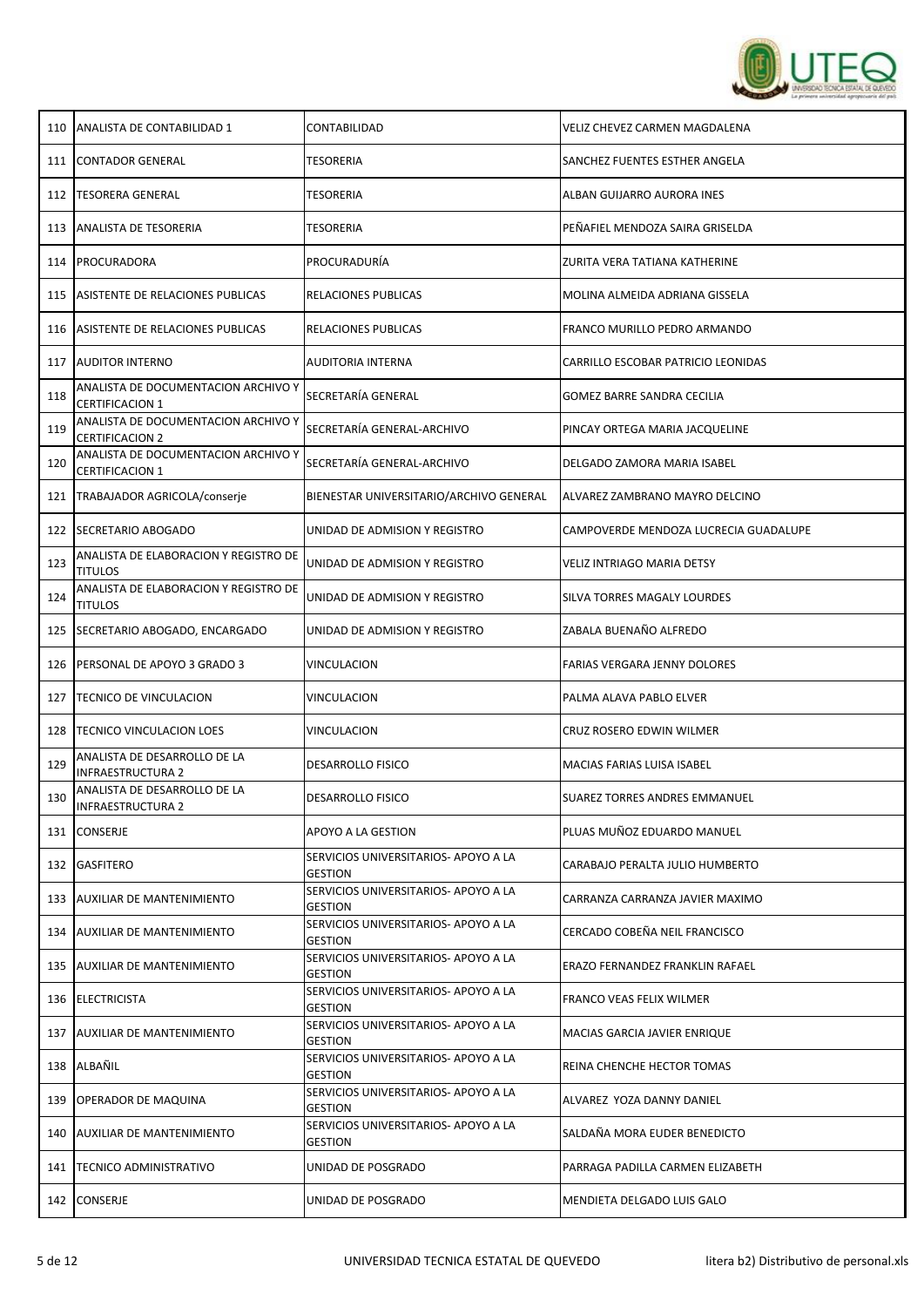

| 110 | ANALISTA DE CONTABILIDAD 1                                    | CONTABILIDAD                                           | VELIZ CHEVEZ CARMEN MAGDALENA         |
|-----|---------------------------------------------------------------|--------------------------------------------------------|---------------------------------------|
|     | 111 CONTADOR GENERAL                                          | TESORERIA                                              | SANCHEZ FUENTES ESTHER ANGELA         |
| 112 | TESORERA GENERAL                                              | TESORERIA                                              | ALBAN GUIJARRO AURORA INES            |
| 113 | <b>ANALISTA DE TESORERIA</b>                                  | TESORERIA                                              | PEÑAFIEL MENDOZA SAIRA GRISELDA       |
| 114 | PROCURADORA                                                   | PROCURADURÍA                                           | ZURITA VERA TATIANA KATHERINE         |
| 115 | ASISTENTE DE RELACIONES PUBLICAS                              | RELACIONES PUBLICAS                                    | MOLINA ALMEIDA ADRIANA GISSELA        |
| 116 | ASISTENTE DE RELACIONES PUBLICAS                              | RELACIONES PUBLICAS                                    | FRANCO MURILLO PEDRO ARMANDO          |
| 117 | <b>AUDITOR INTERNO</b>                                        | AUDITORIA INTERNA                                      | CARRILLO ESCOBAR PATRICIO LEONIDAS    |
| 118 | ANALISTA DE DOCUMENTACION ARCHIVO Y<br><b>CERTIFICACION 1</b> | SECRETARÍA GENERAL                                     | GOMEZ BARRE SANDRA CECILIA            |
| 119 | ANALISTA DE DOCUMENTACION ARCHIVO Y<br><b>CERTIFICACION 2</b> | SECRETARÍA GENERAL-ARCHIVO                             | PINCAY ORTEGA MARIA JACQUELINE        |
| 120 | ANALISTA DE DOCUMENTACION ARCHIVO Y<br><b>CERTIFICACION 1</b> | SECRETARÍA GENERAL-ARCHIVO                             | DELGADO ZAMORA MARIA ISABEL           |
| 121 | TRABAJADOR AGRICOLA/conserje                                  | BIENESTAR UNIVERSITARIO/ARCHIVO GENERAL                | ALVAREZ ZAMBRANO MAYRO DELCINO        |
| 122 | SECRETARIO ABOGADO                                            | UNIDAD DE ADMISION Y REGISTRO                          | CAMPOVERDE MENDOZA LUCRECIA GUADALUPE |
| 123 | ANALISTA DE ELABORACION Y REGISTRO DE<br><b>TITULOS</b>       | UNIDAD DE ADMISION Y REGISTRO                          | VELIZ INTRIAGO MARIA DETSY            |
| 124 | ANALISTA DE ELABORACION Y REGISTRO DE<br><b>TITULOS</b>       | UNIDAD DE ADMISION Y REGISTRO                          | SILVA TORRES MAGALY LOURDES           |
| 125 | SECRETARIO ABOGADO, ENCARGADO                                 | UNIDAD DE ADMISION Y REGISTRO                          | ZABALA BUENAÑO ALFREDO                |
| 126 | <b>PERSONAL DE APOYO 3 GRADO 3</b>                            | VINCULACION                                            | FARIAS VERGARA JENNY DOLORES          |
| 127 | TECNICO DE VINCULACION                                        | VINCULACION                                            | PALMA ALAVA PABLO ELVER               |
| 128 | <b>TECNICO VINCULACION LOES</b>                               | VINCULACION                                            | CRUZ ROSERO EDWIN WILMER              |
| 129 | ANALISTA DE DESARROLLO DE LA<br><b>INFRAESTRUCTURA 2</b>      | <b>DESARROLLO FISICO</b>                               | MACIAS FARIAS LUISA ISABEL            |
| 130 | ANALISTA DE DESARROLLO DE LA<br><b>INFRAESTRUCTURA 2</b>      | <b>DESARROLLO FISICO</b>                               | SUAREZ TORRES ANDRES EMMANUEL         |
| 131 | CONSERJE                                                      | APOYO A LA GESTION                                     | PLUAS MUÑOZ EDUARDO MANUEL            |
| 132 | <b>GASFITERO</b>                                              | SERVICIOS UNIVERSITARIOS- APOYO A LA<br><b>GESTION</b> | CARABAJO PERALTA JULIO HUMBERTO       |
| 133 | <b>AUXILIAR DE MANTENIMIENTO</b>                              | SERVICIOS UNIVERSITARIOS- APOYO A LA<br><b>GESTION</b> | CARRANZA CARRANZA JAVIER MAXIMO       |
| 134 | <b>AUXILIAR DE MANTENIMIENTO</b>                              | SERVICIOS UNIVERSITARIOS- APOYO A LA<br><b>GESTION</b> | CERCADO COBEÑA NEIL FRANCISCO         |
| 135 | AUXILIAR DE MANTENIMIENTO                                     | SERVICIOS UNIVERSITARIOS- APOYO A LA<br><b>GESTION</b> | ERAZO FERNANDEZ FRANKLIN RAFAEL       |
| 136 | ELECTRICISTA                                                  | SERVICIOS UNIVERSITARIOS- APOYO A LA<br><b>GESTION</b> | FRANCO VEAS FELIX WILMER              |
| 137 | <b>AUXILIAR DE MANTENIMIENTO</b>                              | SERVICIOS UNIVERSITARIOS- APOYO A LA<br><b>GESTION</b> | MACIAS GARCIA JAVIER ENRIQUE          |
|     | 138 ALBAÑIL                                                   | SERVICIOS UNIVERSITARIOS- APOYO A LA<br><b>GESTION</b> | REINA CHENCHE HECTOR TOMAS            |
| 139 | <b>OPERADOR DE MAQUINA</b>                                    | SERVICIOS UNIVERSITARIOS- APOYO A LA<br><b>GESTION</b> | ALVAREZ YOZA DANNY DANIEL             |
| 140 | <b>AUXILIAR DE MANTENIMIENTO</b>                              | SERVICIOS UNIVERSITARIOS- APOYO A LA<br><b>GESTION</b> | SALDAÑA MORA EUDER BENEDICTO          |
| 141 | <b>TECNICO ADMINISTRATIVO</b>                                 | UNIDAD DE POSGRADO                                     | PARRAGA PADILLA CARMEN ELIZABETH      |
|     | 142 CONSERJE                                                  | UNIDAD DE POSGRADO                                     | MENDIETA DELGADO LUIS GALO            |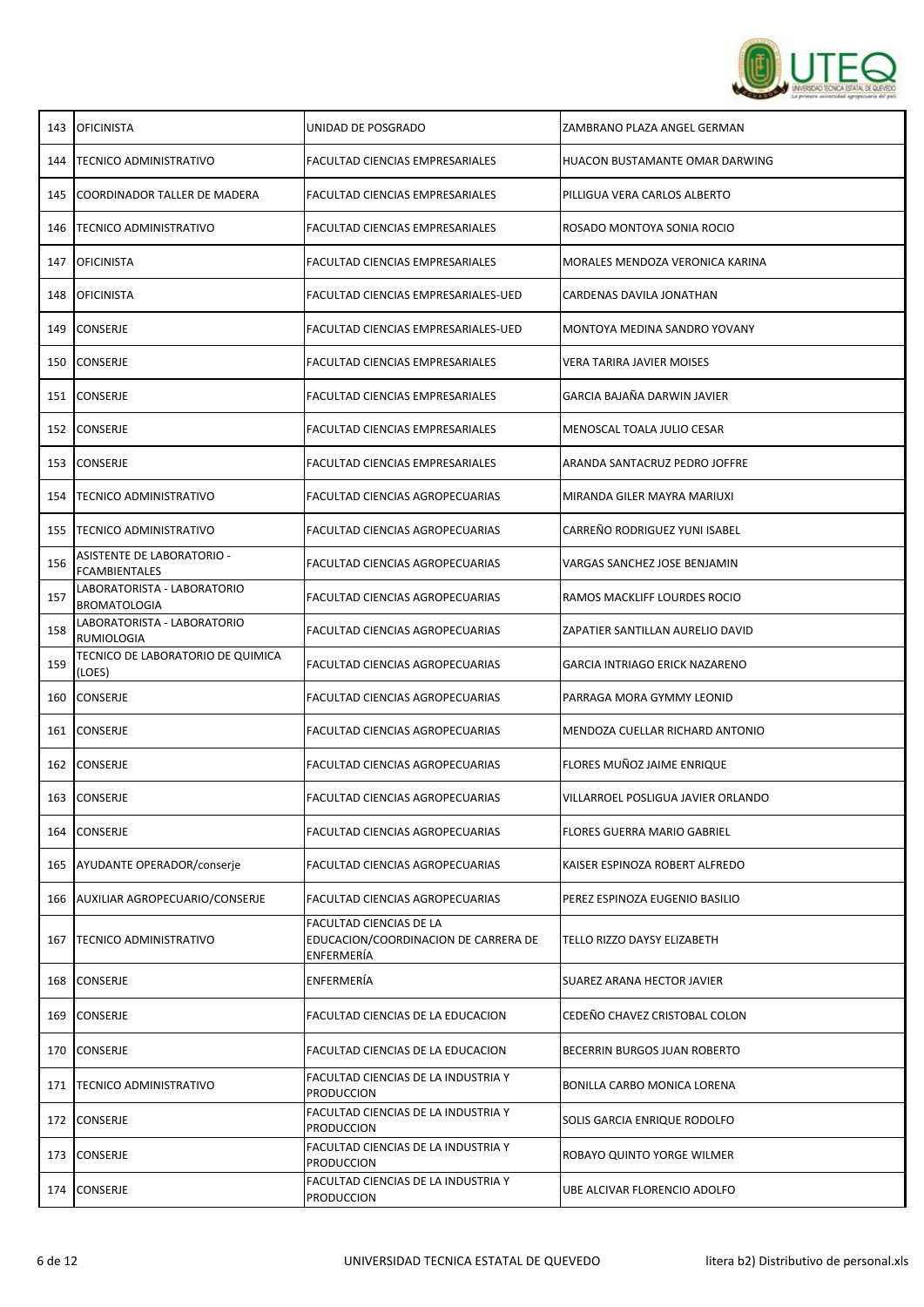

| 143 | <b>OFICINISTA</b>                                  | UNIDAD DE POSGRADO                                                                   | ZAMBRANO PLAZA ANGEL GERMAN        |
|-----|----------------------------------------------------|--------------------------------------------------------------------------------------|------------------------------------|
| 144 | TECNICO ADMINISTRATIVO                             | FACULTAD CIENCIAS EMPRESARIALES                                                      | HUACON BUSTAMANTE OMAR DARWING     |
| 145 | COORDINADOR TALLER DE MADERA                       | FACULTAD CIENCIAS EMPRESARIALES                                                      | PILLIGUA VERA CARLOS ALBERTO       |
| 146 | TECNICO ADMINISTRATIVO                             | FACULTAD CIENCIAS EMPRESARIALES                                                      | ROSADO MONTOYA SONIA ROCIO         |
| 147 | <b>OFICINISTA</b>                                  | FACULTAD CIENCIAS EMPRESARIALES                                                      | MORALES MENDOZA VERONICA KARINA    |
| 148 | <b>OFICINISTA</b>                                  | FACULTAD CIENCIAS EMPRESARIALES-UED                                                  | CARDENAS DAVILA JONATHAN           |
| 149 | <b>CONSERJE</b>                                    | FACULTAD CIENCIAS EMPRESARIALES-UED                                                  | MONTOYA MEDINA SANDRO YOVANY       |
| 150 | <b>CONSERJE</b>                                    | FACULTAD CIENCIAS EMPRESARIALES                                                      | <b>VERA TARIRA JAVIER MOISES</b>   |
| 151 | CONSERJE                                           | FACULTAD CIENCIAS EMPRESARIALES                                                      | GARCIA BAJAÑA DARWIN JAVIER        |
| 152 | <b>CONSERJE</b>                                    | FACULTAD CIENCIAS EMPRESARIALES                                                      | MENOSCAL TOALA JULIO CESAR         |
| 153 | <b>CONSERJE</b>                                    | FACULTAD CIENCIAS EMPRESARIALES                                                      | ARANDA SANTACRUZ PEDRO JOFFRE      |
| 154 | TECNICO ADMINISTRATIVO                             | FACULTAD CIENCIAS AGROPECUARIAS                                                      | MIRANDA GILER MAYRA MARIUXI        |
| 155 | TECNICO ADMINISTRATIVO                             | <b>FACULTAD CIENCIAS AGROPECUARIAS</b>                                               | CARREÑO RODRIGUEZ YUNI ISABEL      |
| 156 | ASISTENTE DE LABORATORIO -<br><b>FCAMBIENTALES</b> | FACULTAD CIENCIAS AGROPECUARIAS                                                      | VARGAS SANCHEZ JOSE BENJAMIN       |
| 157 | LABORATORISTA - LABORATORIO<br><b>BROMATOLOGIA</b> | FACULTAD CIENCIAS AGROPECUARIAS                                                      | RAMOS MACKLIFF LOURDES ROCIO       |
| 158 | LABORATORISTA - LABORATORIO<br>RUMIOLOGIA          | FACULTAD CIENCIAS AGROPECUARIAS                                                      | ZAPATIER SANTILLAN AURELIO DAVID   |
| 159 | TECNICO DE LABORATORIO DE QUIMICA<br>(LOES)        | FACULTAD CIENCIAS AGROPECUARIAS                                                      | GARCIA INTRIAGO ERICK NAZARENO     |
| 160 | CONSERJE                                           | FACULTAD CIENCIAS AGROPECUARIAS                                                      | PARRAGA MORA GYMMY LEONID          |
| 161 | <b>CONSERJE</b>                                    | FACULTAD CIENCIAS AGROPECUARIAS                                                      | MENDOZA CUELLAR RICHARD ANTONIO    |
| 162 | CONSERJE                                           | FACULTAD CIENCIAS AGROPECUARIAS                                                      | FLORES MUÑOZ JAIME ENRIQUE         |
| 163 | <b>CONSERJE</b>                                    | FACULTAD CIENCIAS AGROPECUARIAS                                                      | VILLARROEL POSLIGUA JAVIER ORLANDO |
| 164 | <b>CONSERJE</b>                                    | FACULTAD CIENCIAS AGROPECUARIAS                                                      | <b>FLORES GUERRA MARIO GABRIEL</b> |
| 165 | AYUDANTE OPERADOR/conserje                         | FACULTAD CIENCIAS AGROPECUARIAS                                                      | KAISER ESPINOZA ROBERT ALFREDO     |
| 166 | AUXILIAR AGROPECUARIO/CONSERJE                     | FACULTAD CIENCIAS AGROPECUARIAS                                                      | PEREZ ESPINOZA EUGENIO BASILIO     |
| 167 | <b>TECNICO ADMINISTRATIVO</b>                      | <b>FACULTAD CIENCIAS DE LA</b><br>EDUCACION/COORDINACION DE CARRERA DE<br>ENFERMERÍA | TELLO RIZZO DAYSY ELIZABETH        |
| 168 | <b>CONSERJE</b>                                    | ENFERMERÍA                                                                           | SUAREZ ARANA HECTOR JAVIER         |
| 169 | <b>CONSERJE</b>                                    | FACULTAD CIENCIAS DE LA EDUCACION                                                    | CEDEÑO CHAVEZ CRISTOBAL COLON      |
| 170 | <b>CONSERJE</b>                                    | FACULTAD CIENCIAS DE LA EDUCACION                                                    | BECERRIN BURGOS JUAN ROBERTO       |
| 171 | <b>TECNICO ADMINISTRATIVO</b>                      | FACULTAD CIENCIAS DE LA INDUSTRIA Y<br><b>PRODUCCION</b>                             | BONILLA CARBO MONICA LORENA        |
|     | 172 CONSERJE                                       | FACULTAD CIENCIAS DE LA INDUSTRIA Y<br><b>PRODUCCION</b>                             | SOLIS GARCIA ENRIQUE RODOLFO       |
| 173 | <b>CONSERJE</b>                                    | FACULTAD CIENCIAS DE LA INDUSTRIA Y<br><b>PRODUCCION</b>                             | ROBAYO QUINTO YORGE WILMER         |
| 174 | <b>CONSERJE</b>                                    | FACULTAD CIENCIAS DE LA INDUSTRIA Y<br><b>PRODUCCION</b>                             | UBE ALCIVAR FLORENCIO ADOLFO       |
|     |                                                    |                                                                                      |                                    |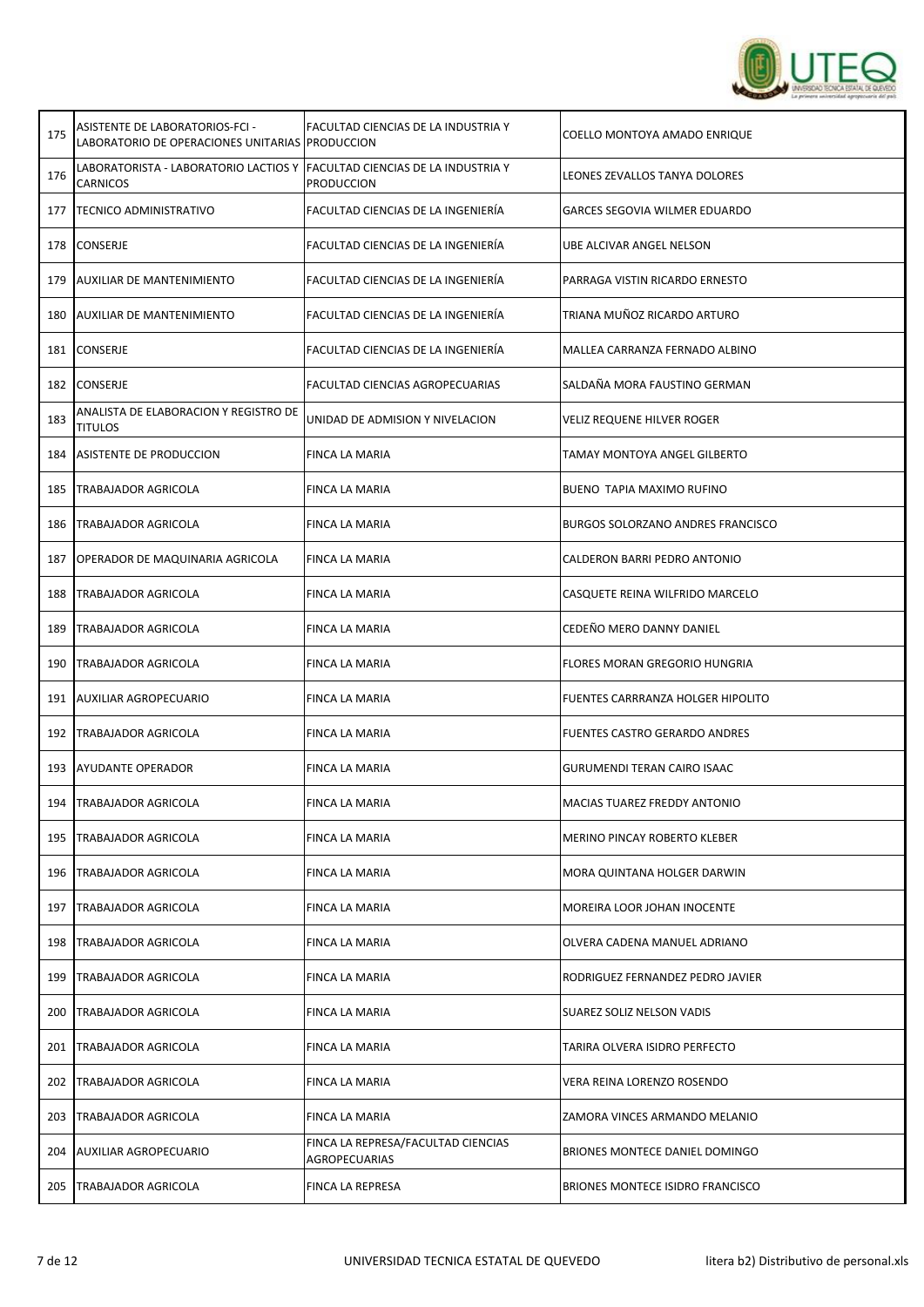

| 175 | ASISTENTE DE LABORATORIOS-FCI -<br>LABORATORIO DE OPERACIONES UNITARIAS PRODUCCION | FACULTAD CIENCIAS DE LA INDUSTRIA Y                      | COELLO MONTOYA AMADO ENRIQUE         |
|-----|------------------------------------------------------------------------------------|----------------------------------------------------------|--------------------------------------|
| 176 | LABORATORISTA - LABORATORIO LACTIOS Y<br><b>CARNICOS</b>                           | FACULTAD CIENCIAS DE LA INDUSTRIA Y<br><b>PRODUCCION</b> | LEONES ZEVALLOS TANYA DOLORES        |
| 177 | <b>TECNICO ADMINISTRATIVO</b>                                                      | FACULTAD CIENCIAS DE LA INGENIERÍA                       | <b>GARCES SEGOVIA WILMER EDUARDO</b> |
| 178 | CONSERJE                                                                           | FACULTAD CIENCIAS DE LA INGENIERÍA                       | UBE ALCIVAR ANGEL NELSON             |
| 179 | <b>AUXILIAR DE MANTENIMIENTO</b>                                                   | FACULTAD CIENCIAS DE LA INGENIERÍA                       | PARRAGA VISTIN RICARDO ERNESTO       |
| 180 | AUXILIAR DE MANTENIMIENTO                                                          | FACULTAD CIENCIAS DE LA INGENIERÍA                       | TRIANA MUÑOZ RICARDO ARTURO          |
|     | 181 CONSERJE                                                                       | FACULTAD CIENCIAS DE LA INGENIERÍA                       | MALLEA CARRANZA FERNADO ALBINO       |
| 182 | <b>CONSERJE</b>                                                                    | FACULTAD CIENCIAS AGROPECUARIAS                          | SALDAÑA MORA FAUSTINO GERMAN         |
| 183 | ANALISTA DE ELABORACION Y REGISTRO DE<br><b>TITULOS</b>                            | UNIDAD DE ADMISION Y NIVELACION                          | VELIZ REQUENE HILVER ROGER           |
| 184 | ASISTENTE DE PRODUCCION                                                            | FINCA LA MARIA                                           | TAMAY MONTOYA ANGEL GILBERTO         |
| 185 | <b>TRABAJADOR AGRICOLA</b>                                                         | FINCA LA MARIA                                           | <b>BUENO TAPIA MAXIMO RUFINO</b>     |
| 186 | TRABAJADOR AGRICOLA                                                                | FINCA LA MARIA                                           | BURGOS SOLORZANO ANDRES FRANCISCO    |
| 187 | <b>OPERADOR DE MAQUINARIA AGRICOLA</b>                                             | FINCA LA MARIA                                           | CALDERON BARRI PEDRO ANTONIO         |
| 188 | <b>TRABAJADOR AGRICOLA</b>                                                         | FINCA LA MARIA                                           | CASQUETE REINA WILFRIDO MARCELO      |
| 189 | <b>TRABAJADOR AGRICOLA</b>                                                         | FINCA LA MARIA                                           | CEDEÑO MERO DANNY DANIEL             |
| 190 | TRABAJADOR AGRICOLA                                                                | FINCA LA MARIA                                           | FLORES MORAN GREGORIO HUNGRIA        |
| 191 | <b>AUXILIAR AGROPECUARIO</b>                                                       | FINCA LA MARIA                                           | FUENTES CARRRANZA HOLGER HIPOLITO    |
| 192 | <b>TRABAJADOR AGRICOLA</b>                                                         | FINCA LA MARIA                                           | FUENTES CASTRO GERARDO ANDRES        |
| 193 | <b>AYUDANTE OPERADOR</b>                                                           | FINCA LA MARIA                                           | <b>GURUMENDI TERAN CAIRO ISAAC</b>   |
| 194 | TRABAJADOR AGRICOLA                                                                | FINCA LA MARIA                                           | <b>MACIAS TUAREZ FREDDY ANTONIO</b>  |
| 195 | <b>TRABAJADOR AGRICOLA</b>                                                         | FINCA LA MARIA                                           | MERINO PINCAY ROBERTO KLEBER         |
| 196 | TRABAJADOR AGRICOLA                                                                | FINCA LA MARIA                                           | MORA QUINTANA HOLGER DARWIN          |
| 197 | <b>TRABAJADOR AGRICOLA</b>                                                         | FINCA LA MARIA                                           | MOREIRA LOOR JOHAN INOCENTE          |
| 198 | TRABAJADOR AGRICOLA                                                                | FINCA LA MARIA                                           | OLVERA CADENA MANUEL ADRIANO         |
| 199 | TRABAJADOR AGRICOLA                                                                | FINCA LA MARIA                                           | RODRIGUEZ FERNANDEZ PEDRO JAVIER     |
| 200 | TRABAJADOR AGRICOLA                                                                | FINCA LA MARIA                                           | SUAREZ SOLIZ NELSON VADIS            |
| 201 | TRABAJADOR AGRICOLA                                                                | FINCA LA MARIA                                           | TARIRA OLVERA ISIDRO PERFECTO        |
| 202 | TRABAJADOR AGRICOLA                                                                | FINCA LA MARIA                                           | VERA REINA LORENZO ROSENDO           |
| 203 | TRABAJADOR AGRICOLA                                                                | FINCA LA MARIA                                           | ZAMORA VINCES ARMANDO MELANIO        |
| 204 | <b>AUXILIAR AGROPECUARIO</b>                                                       | FINCA LA REPRESA/FACULTAD CIENCIAS<br>AGROPECUARIAS      | BRIONES MONTECE DANIEL DOMINGO       |
| 205 | <b>TRABAJADOR AGRICOLA</b>                                                         | FINCA LA REPRESA                                         | BRIONES MONTECE ISIDRO FRANCISCO     |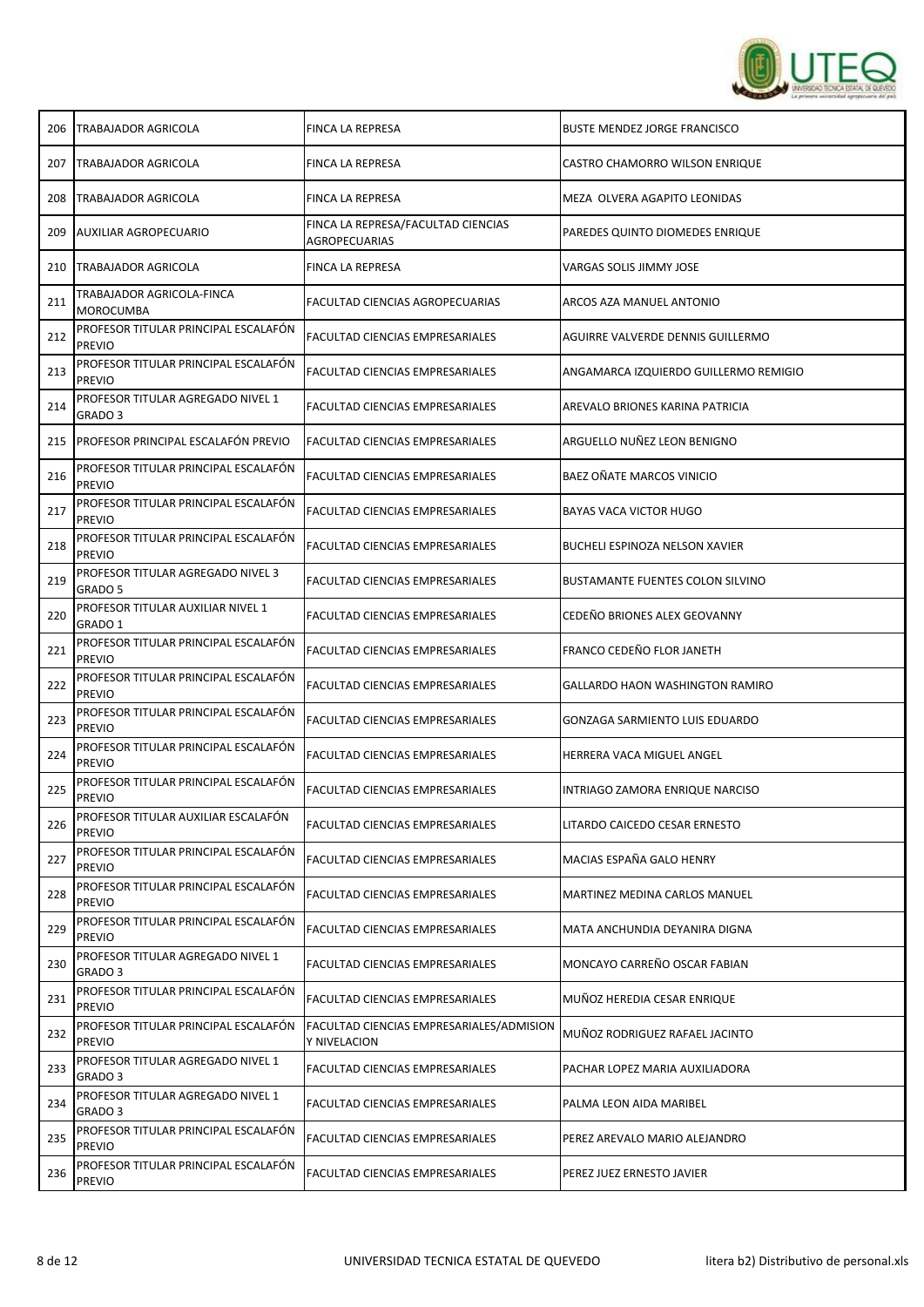

| 206 | TRABAJADOR AGRICOLA                                   | FINCA LA REPRESA                                         | <b>BUSTE MENDEZ JORGE FRANCISCO</b>     |
|-----|-------------------------------------------------------|----------------------------------------------------------|-----------------------------------------|
| 207 | <b>TRABAJADOR AGRICOLA</b>                            | FINCA LA REPRESA                                         | CASTRO CHAMORRO WILSON ENRIQUE          |
| 208 | TRABAJADOR AGRICOLA                                   | <b>FINCA LA REPRESA</b>                                  | MEZA OLVERA AGAPITO LEONIDAS            |
| 209 | <b>AUXILIAR AGROPECUARIO</b>                          | FINCA LA REPRESA/FACULTAD CIENCIAS<br>AGROPECUARIAS      | PAREDES QUINTO DIOMEDES ENRIQUE         |
| 210 | TRABAJADOR AGRICOLA                                   | FINCA LA REPRESA                                         | VARGAS SOLIS JIMMY JOSE                 |
| 211 | TRABAJADOR AGRICOLA-FINCA<br><b>MOROCUMBA</b>         | FACULTAD CIENCIAS AGROPECUARIAS                          | ARCOS AZA MANUEL ANTONIO                |
| 212 | PROFESOR TITULAR PRINCIPAL ESCALAFÓN<br><b>PREVIO</b> | <b>FACULTAD CIENCIAS EMPRESARIALES</b>                   | AGUIRRE VALVERDE DENNIS GUILLERMO       |
| 213 | PROFESOR TITULAR PRINCIPAL ESCALAFÓN<br><b>PREVIO</b> | <b>FACULTAD CIENCIAS EMPRESARIALES</b>                   | ANGAMARCA IZQUIERDO GUILLERMO REMIGIO   |
| 214 | PROFESOR TITULAR AGREGADO NIVEL 1<br>GRADO 3          | FACULTAD CIENCIAS EMPRESARIALES                          | AREVALO BRIONES KARINA PATRICIA         |
| 215 | <b>PROFESOR PRINCIPAL ESCALAFÓN PREVIO</b>            | <b>FACULTAD CIENCIAS EMPRESARIALES</b>                   | ARGUELLO NUÑEZ LEON BENIGNO             |
| 216 | PROFESOR TITULAR PRINCIPAL ESCALAFÓN<br><b>PREVIO</b> | <b>FACULTAD CIENCIAS EMPRESARIALES</b>                   | BAEZ OÑATE MARCOS VINICIO               |
| 217 | PROFESOR TITULAR PRINCIPAL ESCALAFÓN<br><b>PREVIO</b> | FACULTAD CIENCIAS EMPRESARIALES                          | <b>BAYAS VACA VICTOR HUGO</b>           |
| 218 | PROFESOR TITULAR PRINCIPAL ESCALAFÓN<br><b>PREVIO</b> | FACULTAD CIENCIAS EMPRESARIALES                          | BUCHELI ESPINOZA NELSON XAVIER          |
| 219 | PROFESOR TITULAR AGREGADO NIVEL 3<br>GRADO 5          | FACULTAD CIENCIAS EMPRESARIALES                          | <b>BUSTAMANTE FUENTES COLON SILVINO</b> |
| 220 | PROFESOR TITULAR AUXILIAR NIVEL 1<br>GRADO 1          | FACULTAD CIENCIAS EMPRESARIALES                          | CEDEÑO BRIONES ALEX GEOVANNY            |
| 221 | PROFESOR TITULAR PRINCIPAL ESCALAFÓN<br><b>PREVIO</b> | <b>FACULTAD CIENCIAS EMPRESARIALES</b>                   | FRANCO CEDEÑO FLOR JANETH               |
| 222 | PROFESOR TITULAR PRINCIPAL ESCALAFÓN<br><b>PREVIO</b> | FACULTAD CIENCIAS EMPRESARIALES                          | GALLARDO HAON WASHINGTON RAMIRO         |
| 223 | PROFESOR TITULAR PRINCIPAL ESCALAFÓN<br><b>PREVIO</b> | <b>FACULTAD CIENCIAS EMPRESARIALES</b>                   | GONZAGA SARMIENTO LUIS EDUARDO          |
| 224 | PROFESOR TITULAR PRINCIPAL ESCALAFÓN<br><b>PREVIO</b> | FACULTAD CIENCIAS EMPRESARIALES                          | HERRERA VACA MIGUEL ANGEL               |
| 225 | PROFESOR TITULAR PRINCIPAL ESCALAFÓN<br><b>PREVIO</b> | FACULTAD CIENCIAS EMPRESARIALES                          | INTRIAGO ZAMORA ENRIQUE NARCISO         |
| 226 | PROFESOR TITULAR AUXILIAR ESCALAFÓN<br><b>PREVIO</b>  | FACULTAD CIENCIAS EMPRESARIALES                          | LITARDO CAICEDO CESAR ERNESTO           |
| 227 | PROFESOR TITULAR PRINCIPAL ESCALAFÓN<br><b>PREVIO</b> | FACULTAD CIENCIAS EMPRESARIALES                          | MACIAS ESPAÑA GALO HENRY                |
| 228 | PROFESOR TITULAR PRINCIPAL ESCALAFÓN<br><b>PREVIO</b> | FACULTAD CIENCIAS EMPRESARIALES                          | MARTINEZ MEDINA CARLOS MANUEL           |
| 229 | PROFESOR TITULAR PRINCIPAL ESCALAFÓN<br><b>PREVIO</b> | FACULTAD CIENCIAS EMPRESARIALES                          | MATA ANCHUNDIA DEYANIRA DIGNA           |
| 230 | PROFESOR TITULAR AGREGADO NIVEL 1<br>GRADO 3          | FACULTAD CIENCIAS EMPRESARIALES                          | MONCAYO CARREÑO OSCAR FABIAN            |
| 231 | PROFESOR TITULAR PRINCIPAL ESCALAFÓN<br><b>PREVIO</b> | FACULTAD CIENCIAS EMPRESARIALES                          | MUÑOZ HEREDIA CESAR ENRIQUE             |
| 232 | PROFESOR TITULAR PRINCIPAL ESCALAFÓN<br><b>PREVIO</b> | FACULTAD CIENCIAS EMPRESARIALES/ADMISION<br>Y NIVELACION | MUÑOZ RODRIGUEZ RAFAEL JACINTO          |
| 233 | PROFESOR TITULAR AGREGADO NIVEL 1<br>GRADO 3          | FACULTAD CIENCIAS EMPRESARIALES                          | PACHAR LOPEZ MARIA AUXILIADORA          |
| 234 | PROFESOR TITULAR AGREGADO NIVEL 1<br>GRADO 3          | FACULTAD CIENCIAS EMPRESARIALES                          | PALMA LEON AIDA MARIBEL                 |
| 235 | PROFESOR TITULAR PRINCIPAL ESCALAFÓN<br><b>PREVIO</b> | FACULTAD CIENCIAS EMPRESARIALES                          | PEREZ AREVALO MARIO ALEJANDRO           |
| 236 | PROFESOR TITULAR PRINCIPAL ESCALAFÓN<br><b>PREVIO</b> | FACULTAD CIENCIAS EMPRESARIALES                          | PEREZ JUEZ ERNESTO JAVIER               |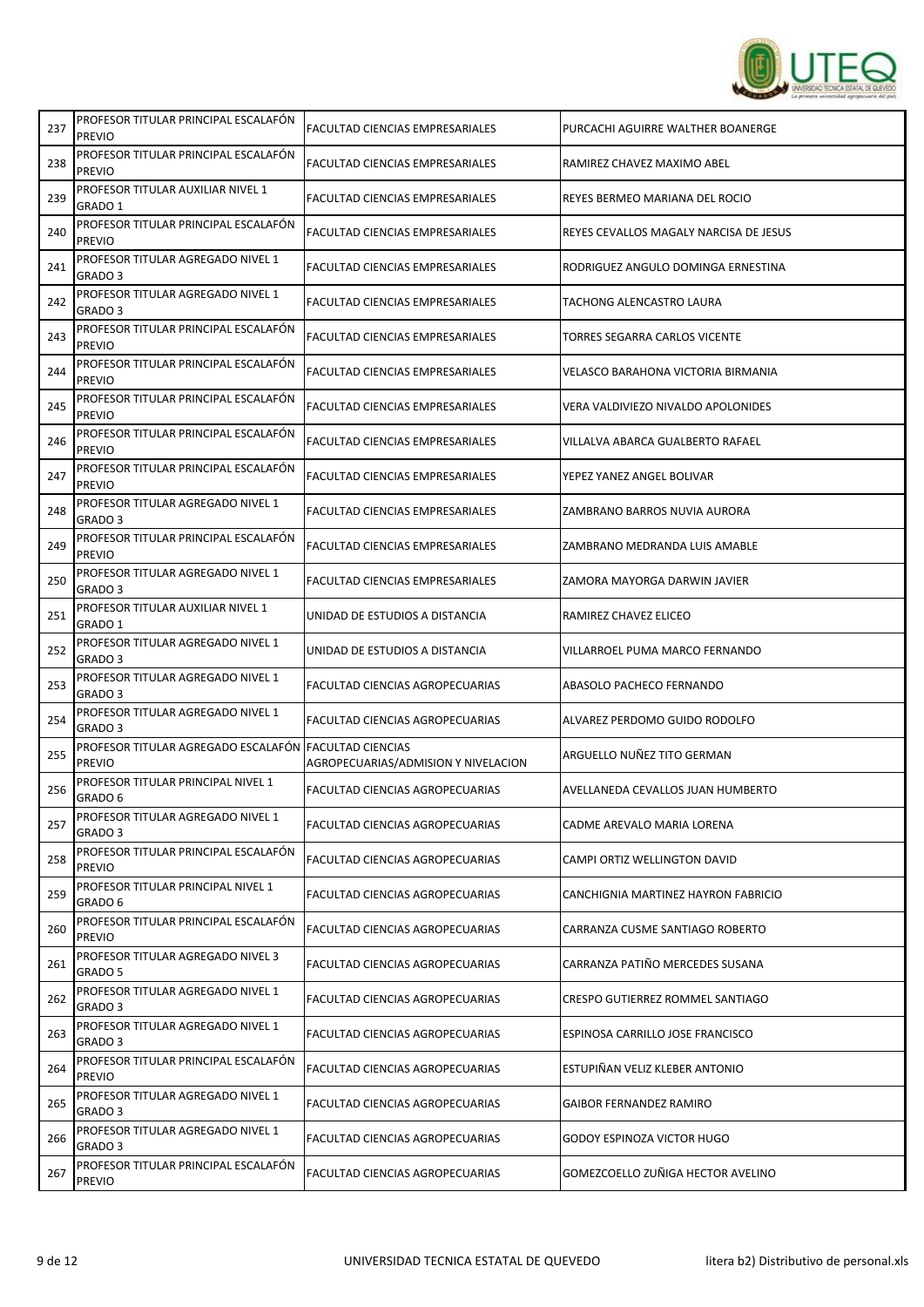

| 237 | PROFESOR TITULAR PRINCIPAL ESCALAFÓN<br><b>PREVIO</b>                  | FACULTAD CIENCIAS EMPRESARIALES        | PURCACHI AGUIRRE WALTHER BOANERGE         |
|-----|------------------------------------------------------------------------|----------------------------------------|-------------------------------------------|
| 238 | PROFESOR TITULAR PRINCIPAL ESCALAFÓN<br><b>PREVIO</b>                  | FACULTAD CIENCIAS EMPRESARIALES        | RAMIREZ CHAVEZ MAXIMO ABEL                |
| 239 | PROFESOR TITULAR AUXILIAR NIVEL 1<br>GRADO 1                           | FACULTAD CIENCIAS EMPRESARIALES        | REYES BERMEO MARIANA DEL ROCIO            |
| 240 | PROFESOR TITULAR PRINCIPAL ESCALAFÓN<br><b>PREVIO</b>                  | FACULTAD CIENCIAS EMPRESARIALES        | REYES CEVALLOS MAGALY NARCISA DE JESUS    |
| 241 | PROFESOR TITULAR AGREGADO NIVEL 1<br>GRADO 3                           | FACULTAD CIENCIAS EMPRESARIALES        | RODRIGUEZ ANGULO DOMINGA ERNESTINA        |
| 242 | PROFESOR TITULAR AGREGADO NIVEL 1<br>GRADO 3                           | FACULTAD CIENCIAS EMPRESARIALES        | TACHONG ALENCASTRO LAURA                  |
| 243 | PROFESOR TITULAR PRINCIPAL ESCALAFÓN<br><b>PREVIO</b>                  | <b>FACULTAD CIENCIAS EMPRESARIALES</b> | TORRES SEGARRA CARLOS VICENTE             |
| 244 | PROFESOR TITULAR PRINCIPAL ESCALAFÓN<br><b>PREVIO</b>                  | FACULTAD CIENCIAS EMPRESARIALES        | <b>VELASCO BARAHONA VICTORIA BIRMANIA</b> |
| 245 | PROFESOR TITULAR PRINCIPAL ESCALAFÓN<br><b>PREVIO</b>                  | FACULTAD CIENCIAS EMPRESARIALES        | VERA VALDIVIEZO NIVALDO APOLONIDES        |
| 246 | PROFESOR TITULAR PRINCIPAL ESCALAFÓN<br><b>PREVIO</b>                  | FACULTAD CIENCIAS EMPRESARIALES        | VILLALVA ABARCA GUALBERTO RAFAEL          |
| 247 | PROFESOR TITULAR PRINCIPAL ESCALAFÓN<br><b>PREVIO</b>                  | FACULTAD CIENCIAS EMPRESARIALES        | YEPEZ YANEZ ANGEL BOLIVAR                 |
| 248 | PROFESOR TITULAR AGREGADO NIVEL 1<br>GRADO 3                           | FACULTAD CIENCIAS EMPRESARIALES        | ZAMBRANO BARROS NUVIA AURORA              |
| 249 | PROFESOR TITULAR PRINCIPAL ESCALAFÓN<br>PREVIO                         | FACULTAD CIENCIAS EMPRESARIALES        | ZAMBRANO MEDRANDA LUIS AMABLE             |
| 250 | PROFESOR TITULAR AGREGADO NIVEL 1<br>GRADO 3                           | FACULTAD CIENCIAS EMPRESARIALES        | ZAMORA MAYORGA DARWIN JAVIER              |
| 251 | PROFESOR TITULAR AUXILIAR NIVEL 1<br>GRADO 1                           | UNIDAD DE ESTUDIOS A DISTANCIA         | RAMIREZ CHAVEZ ELICEO                     |
| 252 | PROFESOR TITULAR AGREGADO NIVEL 1<br>GRADO <sub>3</sub>                | UNIDAD DE ESTUDIOS A DISTANCIA         | VILLARROEL PUMA MARCO FERNANDO            |
| 253 | PROFESOR TITULAR AGREGADO NIVEL 1<br>GRADO 3                           | FACULTAD CIENCIAS AGROPECUARIAS        | ABASOLO PACHECO FERNANDO                  |
| 254 | PROFESOR TITULAR AGREGADO NIVEL 1<br>GRADO 3                           | FACULTAD CIENCIAS AGROPECUARIAS        | ALVAREZ PERDOMO GUIDO RODOLFO             |
| 255 | PROFESOR TITULAR AGREGADO ESCALAFÓN FACULTAD CIENCIAS<br><b>PREVIO</b> | AGROPECUARIAS/ADMISION Y NIVELACION    | ARGUELLO NUÑEZ TITO GERMAN                |
| 256 | PROFESOR TITULAR PRINCIPAL NIVEL 1<br>GRADO 6                          | FACULTAD CIENCIAS AGROPECUARIAS        | AVELLANEDA CEVALLOS JUAN HUMBERTO         |
| 257 | PROFESOR TITULAR AGREGADO NIVEL 1<br>GRADO 3                           | FACULTAD CIENCIAS AGROPECUARIAS        | CADME AREVALO MARIA LORENA                |
| 258 | PROFESOR TITULAR PRINCIPAL ESCALAFÓN<br><b>PREVIO</b>                  | FACULTAD CIENCIAS AGROPECUARIAS        | CAMPI ORTIZ WELLINGTON DAVID              |
| 259 | PROFESOR TITULAR PRINCIPAL NIVEL 1<br>GRADO 6                          | FACULTAD CIENCIAS AGROPECUARIAS        | CANCHIGNIA MARTINEZ HAYRON FABRICIO       |
| 260 | PROFESOR TITULAR PRINCIPAL ESCALAFÓN<br><b>PREVIO</b>                  | FACULTAD CIENCIAS AGROPECUARIAS        | CARRANZA CUSME SANTIAGO ROBERTO           |
| 261 | PROFESOR TITULAR AGREGADO NIVEL 3<br>GRADO 5                           | FACULTAD CIENCIAS AGROPECUARIAS        | CARRANZA PATIÑO MERCEDES SUSANA           |
| 262 | PROFESOR TITULAR AGREGADO NIVEL 1<br>GRADO <sub>3</sub>                | FACULTAD CIENCIAS AGROPECUARIAS        | CRESPO GUTIERREZ ROMMEL SANTIAGO          |
| 263 | PROFESOR TITULAR AGREGADO NIVEL 1<br>GRADO 3                           | FACULTAD CIENCIAS AGROPECUARIAS        | ESPINOSA CARRILLO JOSE FRANCISCO          |
| 264 | PROFESOR TITULAR PRINCIPAL ESCALAFÓN<br><b>PREVIO</b>                  | FACULTAD CIENCIAS AGROPECUARIAS        | ESTUPIÑAN VELIZ KLEBER ANTONIO            |
| 265 | PROFESOR TITULAR AGREGADO NIVEL 1<br>GRADO 3                           | FACULTAD CIENCIAS AGROPECUARIAS        | <b>GAIBOR FERNANDEZ RAMIRO</b>            |
| 266 | PROFESOR TITULAR AGREGADO NIVEL 1<br>GRADO 3                           | FACULTAD CIENCIAS AGROPECUARIAS        | GODOY ESPINOZA VICTOR HUGO                |
| 267 | PROFESOR TITULAR PRINCIPAL ESCALAFON<br><b>PREVIO</b>                  | FACULTAD CIENCIAS AGROPECUARIAS        | GOMEZCOELLO ZUÑIGA HECTOR AVELINO         |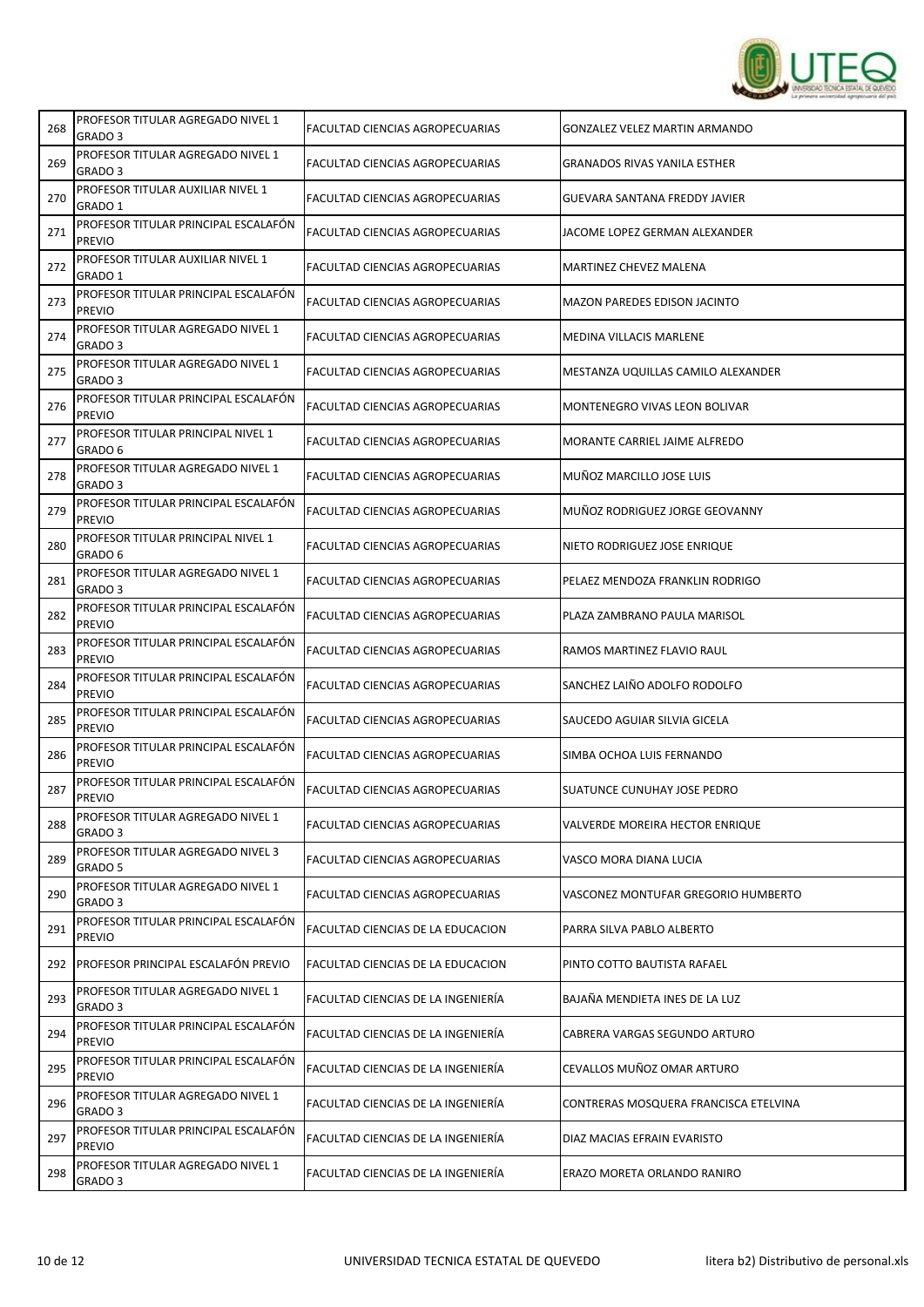

| 268 | PROFESOR TITULAR AGREGADO NIVEL 1<br>GRADO 3            | FACULTAD CIENCIAS AGROPECUARIAS        | <b>GONZALEZ VELEZ MARTIN ARMANDO</b>  |
|-----|---------------------------------------------------------|----------------------------------------|---------------------------------------|
| 269 | PROFESOR TITULAR AGREGADO NIVEL 1<br>GRADO 3            | <b>FACULTAD CIENCIAS AGROPECUARIAS</b> | <b>GRANADOS RIVAS YANILA ESTHER</b>   |
| 270 | PROFESOR TITULAR AUXILIAR NIVEL 1<br>GRADO 1            | <b>FACULTAD CIENCIAS AGROPECUARIAS</b> | GUEVARA SANTANA FREDDY JAVIER         |
| 271 | PROFESOR TITULAR PRINCIPAL ESCALAFÓN<br><b>PREVIO</b>   | FACULTAD CIENCIAS AGROPECUARIAS        | JACOME LOPEZ GERMAN ALEXANDER         |
| 272 | PROFESOR TITULAR AUXILIAR NIVEL 1<br>GRADO 1            | FACULTAD CIENCIAS AGROPECUARIAS        | MARTINEZ CHEVEZ MALENA                |
| 273 | PROFESOR TITULAR PRINCIPAL ESCALAFÓN<br><b>PREVIO</b>   | FACULTAD CIENCIAS AGROPECUARIAS        | MAZON PAREDES EDISON JACINTO          |
| 274 | PROFESOR TITULAR AGREGADO NIVEL 1<br>GRADO <sub>3</sub> | FACULTAD CIENCIAS AGROPECUARIAS        | MEDINA VILLACIS MARLENE               |
| 275 | PROFESOR TITULAR AGREGADO NIVEL 1<br>GRADO 3            | FACULTAD CIENCIAS AGROPECUARIAS        | MESTANZA UQUILLAS CAMILO ALEXANDER    |
| 276 | PROFESOR TITULAR PRINCIPAL ESCALAFÓN<br><b>PREVIO</b>   | FACULTAD CIENCIAS AGROPECUARIAS        | MONTENEGRO VIVAS LEON BOLIVAR         |
| 277 | PROFESOR TITULAR PRINCIPAL NIVEL 1<br>GRADO 6           | FACULTAD CIENCIAS AGROPECUARIAS        | MORANTE CARRIEL JAIME ALFREDO         |
| 278 | PROFESOR TITULAR AGREGADO NIVEL 1<br>GRADO 3            | FACULTAD CIENCIAS AGROPECUARIAS        | MUÑOZ MARCILLO JOSE LUIS              |
| 279 | PROFESOR TITULAR PRINCIPAL ESCALAFÓN<br><b>PREVIO</b>   | FACULTAD CIENCIAS AGROPECUARIAS        | MUÑOZ RODRIGUEZ JORGE GEOVANNY        |
| 280 | PROFESOR TITULAR PRINCIPAL NIVEL 1<br>GRADO 6           | FACULTAD CIENCIAS AGROPECUARIAS        | NIETO RODRIGUEZ JOSE ENRIQUE          |
| 281 | PROFESOR TITULAR AGREGADO NIVEL 1<br>GRADO 3            | FACULTAD CIENCIAS AGROPECUARIAS        | PELAEZ MENDOZA FRANKLIN RODRIGO       |
| 282 | PROFESOR TITULAR PRINCIPAL ESCALAFÓN<br><b>PREVIO</b>   | FACULTAD CIENCIAS AGROPECUARIAS        | PLAZA ZAMBRANO PAULA MARISOL          |
| 283 | PROFESOR TITULAR PRINCIPAL ESCALAFÓN<br><b>PREVIO</b>   | FACULTAD CIENCIAS AGROPECUARIAS        | RAMOS MARTINEZ FLAVIO RAUL            |
| 284 | PROFESOR TITULAR PRINCIPAL ESCALAFÓN<br><b>PREVIO</b>   | FACULTAD CIENCIAS AGROPECUARIAS        | SANCHEZ LAIÑO ADOLFO RODOLFO          |
| 285 | PROFESOR TITULAR PRINCIPAL ESCALAFÓN<br><b>PREVIO</b>   | FACULTAD CIENCIAS AGROPECUARIAS        | SAUCEDO AGUIAR SILVIA GICELA          |
| 286 | PROFESOR TITULAR PRINCIPAL ESCALAFÓN<br><b>PREVIO</b>   | FACULTAD CIENCIAS AGROPECUARIAS        | SIMBA OCHOA LUIS FERNANDO             |
| 287 | PROFESOR TITULAR PRINCIPAL ESCALAFÓN<br><b>PREVIO</b>   | FACULTAD CIENCIAS AGROPECUARIAS        | SUATUNCE CUNUHAY JOSE PEDRO           |
| 288 | PROFESOR TITULAR AGREGADO NIVEL 1<br>GRADO <sub>3</sub> | FACULTAD CIENCIAS AGROPECUARIAS        | VALVERDE MOREIRA HECTOR ENRIQUE       |
| 289 | PROFESOR TITULAR AGREGADO NIVEL 3<br>GRADO 5            | FACULTAD CIENCIAS AGROPECUARIAS        | VASCO MORA DIANA LUCIA                |
| 290 | PROFESOR TITULAR AGREGADO NIVEL 1<br>GRADO <sub>3</sub> | FACULTAD CIENCIAS AGROPECUARIAS        | VASCONEZ MONTUFAR GREGORIO HUMBERTO   |
| 291 | PROFESOR TITULAR PRINCIPAL ESCALAFÓN<br><b>PREVIO</b>   | FACULTAD CIENCIAS DE LA EDUCACION      | PARRA SILVA PABLO ALBERTO             |
| 292 | PROFESOR PRINCIPAL ESCALAFÓN PREVIO                     | FACULTAD CIENCIAS DE LA EDUCACION      | PINTO COTTO BAUTISTA RAFAEL           |
| 293 | PROFESOR TITULAR AGREGADO NIVEL 1<br>GRADO <sub>3</sub> | FACULTAD CIENCIAS DE LA INGENIERÍA     | BAJAÑA MENDIETA INES DE LA LUZ        |
| 294 | PROFESOR TITULAR PRINCIPAL ESCALAFÓN<br><b>PREVIO</b>   | FACULTAD CIENCIAS DE LA INGENIERÍA     | CABRERA VARGAS SEGUNDO ARTURO         |
| 295 | PROFESOR TITULAR PRINCIPAL ESCALAFÓN<br><b>PREVIO</b>   | FACULTAD CIENCIAS DE LA INGENIERÍA     | CEVALLOS MUÑOZ OMAR ARTURO            |
| 296 | PROFESOR TITULAR AGREGADO NIVEL 1<br>GRADO 3            | FACULTAD CIENCIAS DE LA INGENIERÍA     | CONTRERAS MOSQUERA FRANCISCA ETELVINA |
| 297 | PROFESOR TITULAR PRINCIPAL ESCALAFÓN<br><b>PREVIO</b>   | FACULTAD CIENCIAS DE LA INGENIERÍA     | DIAZ MACIAS EFRAIN EVARISTO           |
| 298 | PROFESOR TITULAR AGREGADO NIVEL 1<br>GRADO 3            | FACULTAD CIENCIAS DE LA INGENIERÍA     | ERAZO MORETA ORLANDO RANIRO           |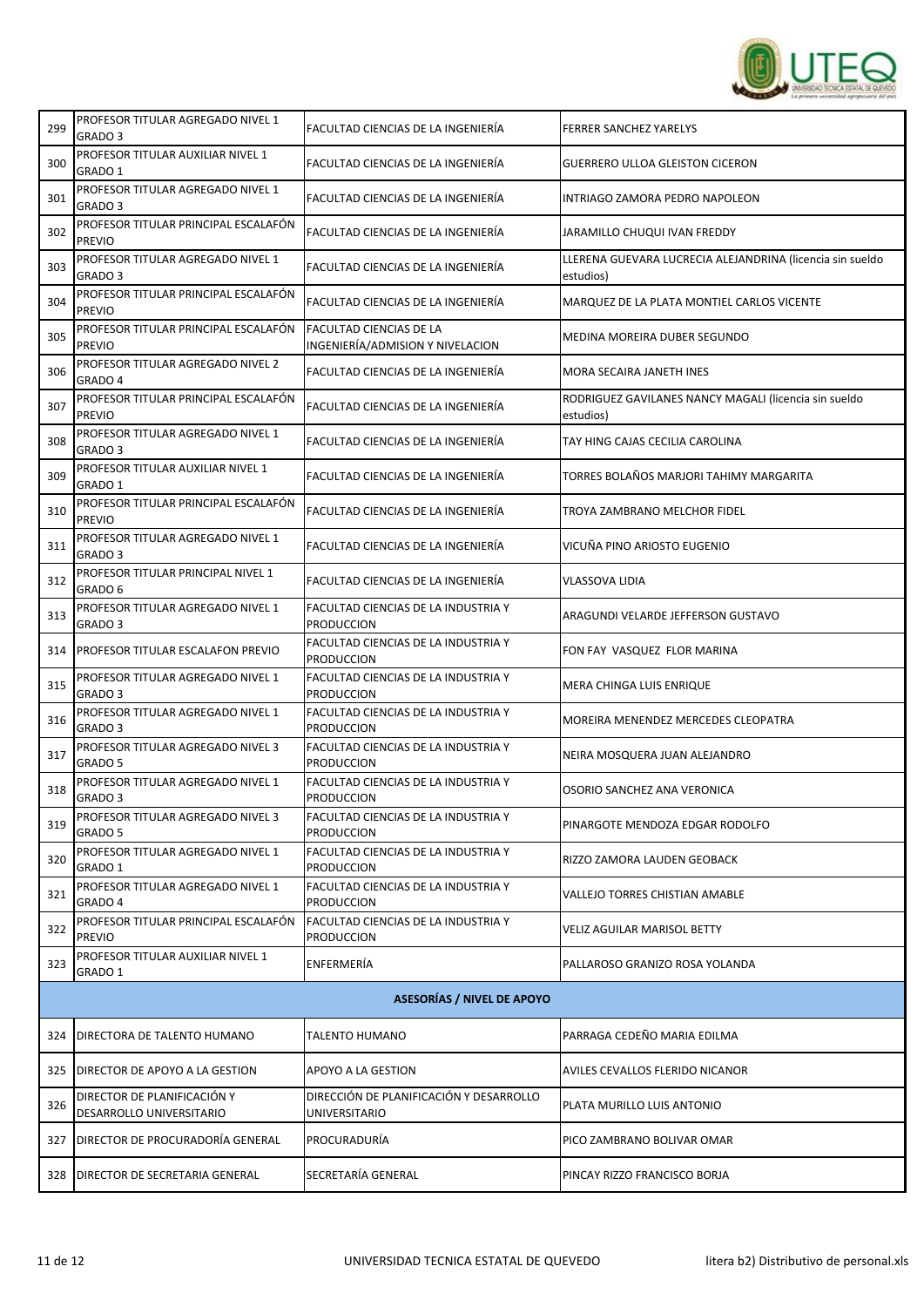

| 299 | PROFESOR TITULAR AGREGADO NIVEL 1<br>GRADO 3            | FACULTAD CIENCIAS DE LA INGENIERÍA                                 | <b>FERRER SANCHEZ YARELYS</b>                                          |
|-----|---------------------------------------------------------|--------------------------------------------------------------------|------------------------------------------------------------------------|
| 300 | PROFESOR TITULAR AUXILIAR NIVEL 1<br>GRADO 1            | FACULTAD CIENCIAS DE LA INGENIERÍA                                 | <b>GUERRERO ULLOA GLEISTON CICERON</b>                                 |
| 301 | PROFESOR TITULAR AGREGADO NIVEL 1<br>GRADO 3            | FACULTAD CIENCIAS DE LA INGENIERÍA                                 | INTRIAGO ZAMORA PEDRO NAPOLEON                                         |
| 302 | PROFESOR TITULAR PRINCIPAL ESCALAFÓN<br><b>PREVIO</b>   | FACULTAD CIENCIAS DE LA INGENIERÍA                                 | JARAMILLO CHUQUI IVAN FREDDY                                           |
| 303 | PROFESOR TITULAR AGREGADO NIVEL 1<br>GRADO 3            | FACULTAD CIENCIAS DE LA INGENIERÍA                                 | LLERENA GUEVARA LUCRECIA ALEJANDRINA (licencia sin sueldo<br>estudios) |
| 304 | PROFESOR TITULAR PRINCIPAL ESCALAFÓN<br><b>PREVIO</b>   | FACULTAD CIENCIAS DE LA INGENIERÍA                                 | MARQUEZ DE LA PLATA MONTIEL CARLOS VICENTE                             |
| 305 | PROFESOR TITULAR PRINCIPAL ESCALAFÓN<br><b>PREVIO</b>   | <b>FACULTAD CIENCIAS DE LA</b><br>INGENIERÍA/ADMISION Y NIVELACION | MEDINA MOREIRA DUBER SEGUNDO                                           |
| 306 | PROFESOR TITULAR AGREGADO NIVEL 2<br>GRADO 4            | FACULTAD CIENCIAS DE LA INGENIERÍA                                 | MORA SECAIRA JANETH INES                                               |
| 307 | PROFESOR TITULAR PRINCIPAL ESCALAFÓN<br><b>PREVIO</b>   | FACULTAD CIENCIAS DE LA INGENIERÍA                                 | RODRIGUEZ GAVILANES NANCY MAGALI (licencia sin sueldo<br>estudios)     |
| 308 | PROFESOR TITULAR AGREGADO NIVEL 1<br>GRADO <sub>3</sub> | FACULTAD CIENCIAS DE LA INGENIERÍA                                 | TAY HING CAJAS CECILIA CAROLINA                                        |
| 309 | PROFESOR TITULAR AUXILIAR NIVEL 1<br>GRADO 1            | FACULTAD CIENCIAS DE LA INGENIERÍA                                 | TORRES BOLAÑOS MARJORI TAHIMY MARGARITA                                |
| 310 | PROFESOR TITULAR PRINCIPAL ESCALAFÓN<br><b>PREVIO</b>   | FACULTAD CIENCIAS DE LA INGENIERÍA                                 | TROYA ZAMBRANO MELCHOR FIDEL                                           |
| 311 | PROFESOR TITULAR AGREGADO NIVEL 1<br>GRADO 3            | FACULTAD CIENCIAS DE LA INGENIERÍA                                 | VICUÑA PINO ARIOSTO EUGENIO                                            |
| 312 | PROFESOR TITULAR PRINCIPAL NIVEL 1<br>GRADO 6           | FACULTAD CIENCIAS DE LA INGENIERÍA                                 | <b>VLASSOVA LIDIA</b>                                                  |
| 313 | PROFESOR TITULAR AGREGADO NIVEL 1<br>GRADO <sub>3</sub> | FACULTAD CIENCIAS DE LA INDUSTRIA Y<br><b>PRODUCCION</b>           | ARAGUNDI VELARDE JEFFERSON GUSTAVO                                     |
| 314 | PROFESOR TITULAR ESCALAFON PREVIO                       | FACULTAD CIENCIAS DE LA INDUSTRIA Y<br><b>PRODUCCION</b>           | FON FAY VASQUEZ FLOR MARINA                                            |
| 315 | PROFESOR TITULAR AGREGADO NIVEL 1<br>GRADO <sub>3</sub> | FACULTAD CIENCIAS DE LA INDUSTRIA Y<br><b>PRODUCCION</b>           | MERA CHINGA LUIS ENRIQUE                                               |
| 316 | PROFESOR TITULAR AGREGADO NIVEL 1<br>GRADO <sub>3</sub> | FACULTAD CIENCIAS DE LA INDUSTRIA Y<br><b>PRODUCCION</b>           | MOREIRA MENENDEZ MERCEDES CLEOPATRA                                    |
| 317 | PROFESOR TITULAR AGREGADO NIVEL 3<br>GRADO 5            | FACULTAD CIENCIAS DE LA INDUSTRIA Y<br><b>PRODUCCION</b>           | NEIRA MOSQUERA JUAN ALEJANDRO                                          |
| 318 | PROFESOR TITULAR AGREGADO NIVEL 1<br>GRADO <sub>3</sub> | FACULTAD CIENCIAS DE LA INDUSTRIA Y<br><b>PRODUCCION</b>           | OSORIO SANCHEZ ANA VERONICA                                            |
| 319 | PROFESOR TITULAR AGREGADO NIVEL 3<br>GRADO 5            | FACULTAD CIENCIAS DE LA INDUSTRIA Y<br><b>PRODUCCION</b>           | PINARGOTE MENDOZA EDGAR RODOLFO                                        |
| 320 | PROFESOR TITULAR AGREGADO NIVEL 1<br>GRADO 1            | FACULTAD CIENCIAS DE LA INDUSTRIA Y<br>PRODUCCION                  | RIZZO ZAMORA LAUDEN GEOBACK                                            |
| 321 | PROFESOR TITULAR AGREGADO NIVEL 1<br>GRADO 4            | FACULTAD CIENCIAS DE LA INDUSTRIA Y<br><b>PRODUCCION</b>           | VALLEJO TORRES CHISTIAN AMABLE                                         |
| 322 | PROFESOR TITULAR PRINCIPAL ESCALAFÓN<br><b>PREVIO</b>   | FACULTAD CIENCIAS DE LA INDUSTRIA Y<br><b>PRODUCCION</b>           | <b>VELIZ AGUILAR MARISOL BETTY</b>                                     |
| 323 | PROFESOR TITULAR AUXILIAR NIVEL 1<br>GRADO 1            | ENFERMERÍA                                                         | PALLAROSO GRANIZO ROSA YOLANDA                                         |
|     |                                                         | <b>ASESORÍAS / NIVEL DE APOYO</b>                                  |                                                                        |
| 324 | DIRECTORA DE TALENTO HUMANO                             | TALENTO HUMANO                                                     | PARRAGA CEDEÑO MARIA EDILMA                                            |
| 325 | DIRECTOR DE APOYO A LA GESTION                          | APOYO A LA GESTION                                                 | AVILES CEVALLOS FLERIDO NICANOR                                        |
| 326 | DIRECTOR DE PLANIFICACIÓN Y<br>DESARROLLO UNIVERSITARIO | DIRECCIÓN DE PLANIFICACIÓN Y DESARROLLO<br>UNIVERSITARIO           | PLATA MURILLO LUIS ANTONIO                                             |
| 327 | DIRECTOR DE PROCURADORÍA GENERAL                        | PROCURADURÍA                                                       | PICO ZAMBRANO BOLIVAR OMAR                                             |
| 328 | <b>DIRECTOR DE SECRETARIA GENERAL</b>                   | SECRETARÍA GENERAL                                                 | PINCAY RIZZO FRANCISCO BORJA                                           |